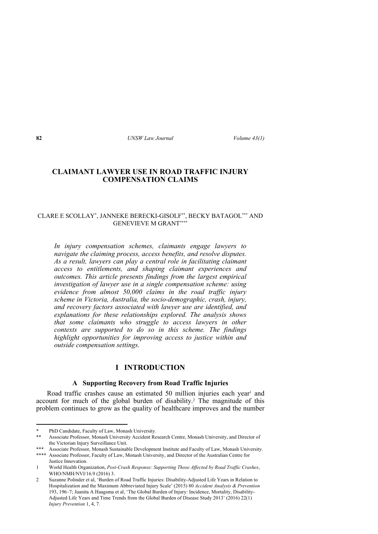## **CLAIMANT LAWYER USE IN ROAD TRAFFIC INJURY COMPENSATION CLAIMS**

### CLARE E SCOLLAY\* , JANNEKE BERECKI-GISOLF\*\*, BECKY BATAGOL\*\*\* AND GENEVIEVE M GRANT\*\*\*\*

*In injury compensation schemes, claimants engage lawyers to navigate the claiming process, access benefits, and resolve disputes. As a result, lawyers can play a central role in facilitating claimant access to entitlements, and shaping claimant experiences and outcomes. This article presents findings from the largest empirical investigation of lawyer use in a single compensation scheme: using evidence from almost 50,000 claims in the road traffic injury scheme in Victoria, Australia, the socio-demographic, crash, injury, and recovery factors associated with lawyer use are identified, and explanations for these relationships explored. The analysis shows that some claimants who struggle to access lawyers in other contexts are supported to do so in this scheme. The findings highlight opportunities for improving access to justice within and outside compensation settings.* 

## **I INTRODUCTION**

### **A Supporting Recovery from Road Traffic Injuries**

Road traffic crashes cause an estimated 50 million injuries each year<sup>1</sup> and account for much of the global burden of disability.<sup>2</sup> The magnitude of this problem continues to grow as the quality of healthcare improves and the number

<sup>\*</sup> PhD Candidate, Faculty of Law, Monash University.

<sup>\*\*</sup> Associate Professor, Monash University Accident Research Centre, Monash University, and Director of the Victorian Injury Surveillance Unit.

<sup>\*\*\*</sup> Associate Professor, Monash Sustainable Development Institute and Faculty of Law, Monash University.

<sup>\*\*\*\*</sup> Associate Professor, Faculty of Law, Monash University, and Director of the Australian Centre for Justice Innovation.

<sup>1</sup> World Health Organization, *Post-Crash Response: Supporting Those Affected by Road Traffic Crashes*, WHO/NMH/NVI/16.9 (2016) 3.

<sup>2</sup> Suzanne Polinder et al, 'Burden of Road Traffic Injuries: Disability-Adjusted Life Years in Relation to Hospitalization and the Maximum Abbreviated Injury Scale' (2015) 80 *Accident Analysis & Prevention* 193, 196–7; Juanita A Haagsma et al, 'The Global Burden of Injury: Incidence, Mortality, Disability-Adjusted Life Years and Time Trends from the Global Burden of Disease Study 2013' (2016) 22(1) *Injury Prevention* 1, 4, 7.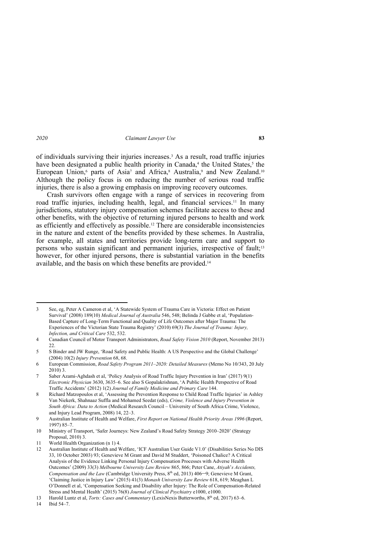of individuals surviving their injuries increases.3 As a result, road traffic injuries have been designated a public health priority in Canada,<sup>4</sup> the United States,<sup>5</sup> the European Union,<sup>6</sup> parts of Asia<sup>7</sup> and Africa,<sup>8</sup> Australia,<sup>9</sup> and New Zealand.<sup>10</sup> Although the policy focus is on reducing the number of serious road traffic injuries, there is also a growing emphasis on improving recovery outcomes.

Crash survivors often engage with a range of services in recovering from road traffic injuries, including health, legal, and financial services.11 In many jurisdictions, statutory injury compensation schemes facilitate access to these and other benefits, with the objective of returning injured persons to health and work as efficiently and effectively as possible.12 There are considerable inconsistencies in the nature and extent of the benefits provided by these schemes. In Australia, for example, all states and territories provide long-term care and support to persons who sustain significant and permanent injuries, irrespective of fault;13 however, for other injured persons, there is substantial variation in the benefits available, and the basis on which these benefits are provided.14

<sup>3</sup> See, eg, Peter A Cameron et al, 'A Statewide System of Trauma Care in Victoria: Effect on Patient Survival' (2008) 189(10) *Medical Journal of Australia* 546, 548; Belinda J Gabbe et al, 'Population-Based Capture of Long-Term Functional and Quality of Life Outcomes after Major Trauma: The Experiences of the Victorian State Trauma Registry' (2010) 69(3) *The Journal of Trauma: Injury, Infection, and Critical Care* 532, 532.

<sup>4</sup> Canadian Council of Motor Transport Administrators, *Road Safety Vision 2010* (Report, November 2013) 22.

<sup>5</sup> S Binder and JW Runge, 'Road Safety and Public Health: A US Perspective and the Global Challenge' (2004) 10(2) *Injury Prevention* 68, 68.

<sup>6</sup> European Commission, *Road Safety Program 2011–2020: Detailed Measures* (Memo No 10/343, 20 July 2010) 3.

<sup>7</sup> Saber Azami-Aghdash et al, 'Policy Analysis of Road Traffic Injury Prevention in Iran' (2017) 9(1) *Electronic Physician* 3630, 3635*–*6. See also S Gopalakrishnan, 'A Public Health Perspective of Road Traffic Accidents' (2012) 1(2) *Journal of Family Medicine and Primary Care* 144.

<sup>8</sup> Richard Matzopoulos et al, 'Assessing the Prevention Response to Child Road Traffic Injuries' in Ashley Van Niekerk, Shahnaaz Suffla and Mohamed Seedat (eds), *Crime, Violence and Injury Prevention in South Africa: Data to Action* (Medical Research Council – University of South Africa Crime, Violence, and Injury Lead Program, 2008) 14, 22–3.

<sup>9</sup> Australian Institute of Health and Welfare, *First Report on National Health Priority Areas 1996* (Report, 1997) 85–7.

<sup>10</sup> Ministry of Transport, 'Safer Journeys: New Zealand's Road Safety Strategy 2010–2020' (Strategy Proposal, 2010) 3.

<sup>11</sup> World Health Organization (n 1) 4.

<sup>12</sup> Australian Institute of Health and Welfare, 'ICF Australian User Guide V1.0' (Disabilities Series No DIS 33, 10 October 2003) 93; Genevieve M Grant and David M Studdert, 'Poisoned Chalice? A Critical Analysis of the Evidence Linking Personal Injury Compensation Processes with Adverse Health Outcomes' (2009) 33(3) *Melbourne University Law Review* 865, 866; Peter Cane, *Atiyah*'*s Accidents, Compensation and the Law* (Cambridge University Press, 8<sup>th</sup> ed, 2013) 406–9; Genevieve M Grant, 'Claiming Justice in Injury Law' (2015) 41(3) *Monash University Law Review* 618, 619; Meaghan L O'Donnell et al, 'Compensation Seeking and Disability after Injury: The Role of Compensation-Related Stress and Mental Health' (2015) 76(8) *Journal of Clinical Psychiatry* e1000, e1000.

<sup>13</sup> Harold Luntz et al, *Torts: Cases and Commentary* (LexisNexis Butterworths, 8<sup>th</sup> ed, 2017) 63–6.

<sup>14</sup> Ibid 54–7.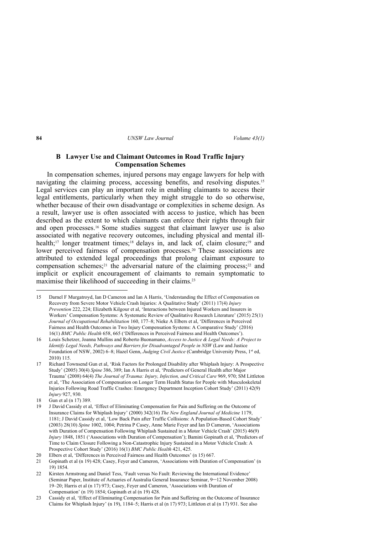### **B Lawyer Use and Claimant Outcomes in Road Traffic Injury Compensation Schemes**

In compensation schemes, injured persons may engage lawyers for help with navigating the claiming process, accessing benefits, and resolving disputes.15 Legal services can play an important role in enabling claimants to access their legal entitlements, particularly when they might struggle to do so otherwise, whether because of their own disadvantage or complexities in scheme design. As a result, lawyer use is often associated with access to justice, which has been described as the extent to which claimants can enforce their rights through fair and open processes.16 Some studies suggest that claimant lawyer use is also associated with negative recovery outcomes, including physical and mental illhealth;<sup>17</sup> longer treatment times;<sup>18</sup> delays in, and lack of, claim closure;<sup>19</sup> and lower perceived fairness of compensation processes.<sup>20</sup> These associations are attributed to extended legal proceedings that prolong claimant exposure to compensation schemes;<sup>21</sup> the adversarial nature of the claiming process;<sup>22</sup> and implicit or explicit encouragement of claimants to remain symptomatic to maximise their likelihood of succeeding in their claims.23

<sup>15</sup> Darnel F Murgatroyd, Ian D Cameron and Ian A Harris, 'Understanding the Effect of Compensation on Recovery from Severe Motor Vehicle Crash Injuries: A Qualitative Study' (2011) 17(4) *Injury Prevention* 222, 224; Elizabeth Kilgour et al, 'Interactions between Injured Workers and Insurers in Workers' Compensation Systems: A Systematic Review of Qualitative Research Literature' (2015) 25(1) *Journal of Occupational Rehabilitation* 160, 177–8; Nieke A Elbers et al, 'Differences in Perceived Fairness and Health Outcomes in Two Injury Compensation Systems: A Comparative Study' (2016) 16(1) *BMC Public Health* 658, 665 ('Differences in Perceived Fairness and Health Outcomes').

<sup>16</sup> Louis Schetzer, Joanna Mullins and Roberto Buonamano, *Access to Justice & Legal Needs: A Project to Identify Legal Needs, Pathways and Barriers for Disadvantaged People in NSW* (Law and Justice Foundation of NSW, 2002) 6–8; Hazel Genn, *Judging Civil Justice* (Cambridge University Press, 1st ed, 2010) 115.

<sup>17</sup> Richard Townsend Gun et al, 'Risk Factors for Prolonged Disability after Whiplash Injury: A Prospective Study' (2005) 30(4) *Spine* 386, 389; Ian A Harris et al, 'Predictors of General Health after Major Trauma' (2008) 64(4) *The Journal of Trauma: Injury, Infection, and Critical Care* 969, 970; SM Littleton et al, 'The Association of Compensation on Longer Term Health Status for People with Musculoskeletal Injuries Following Road Traffic Crashes: Emergency Department Inception Cohort Study' (2011) 42(9) *Injury* 927, 930.

<sup>18</sup> Gun et al (n 17) 389.

<sup>19</sup> J David Cassidy et al, 'Effect of Eliminating Compensation for Pain and Suffering on the Outcome of Insurance Claims for Whiplash Injury' (2000) 342(16) *The New England Journal of Medicine* 1179, 1181; J David Cassidy et al, 'Low Back Pain after Traffic Collisions: A Population-Based Cohort Study' (2003) 28(10) *Spine* 1002, 1004; Petrina P Casey, Anne Marie Feyer and Ian D Cameron, 'Associations with Duration of Compensation Following Whiplash Sustained in a Motor Vehicle Crash' (2015) 46(9) *Injury* 1848, 1851 ('Associations with Duration of Compensation'); Bamini Gopinath et al, 'Predictors of Time to Claim Closure Following a Non-Catastrophic Injury Sustained in a Motor Vehicle Crash: A Prospective Cohort Study' (2016) 16(1) *BMC Public Health* 421, 425.

<sup>20</sup> Elbers et al, 'Differences in Perceived Fairness and Health Outcomes' (n 15) 667.

<sup>21</sup> Gopinath et al (n 19) 428; Casey, Feyer and Cameron, 'Associations with Duration of Compensation' (n 19) 1854.

<sup>22</sup> Kirsten Armstrong and Daniel Tess, 'Fault versus No Fault: Reviewing the International Evidence' (Seminar Paper, Institute of Actuaries of Australia General Insurance Seminar, 9–12 November 2008) 19–20; Harris et al (n 17) 973; Casey, Feyer and Cameron, 'Associations with Duration of Compensation' (n 19) 1854; Gopinath et al (n 19) 428.

<sup>23</sup> Cassidy et al, 'Effect of Eliminating Compensation for Pain and Suffering on the Outcome of Insurance Claims for Whiplash Injury' (n 19), 1184–5; Harris et al (n 17) 973; Littleton et al (n 17) 931. See also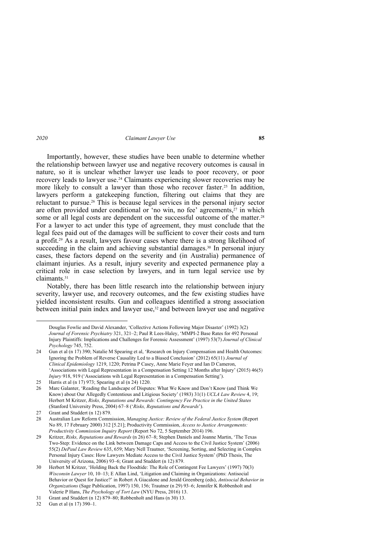Importantly, however, these studies have been unable to determine whether the relationship between lawyer use and negative recovery outcomes is causal in nature, so it is unclear whether lawyer use leads to poor recovery, or poor recovery leads to lawyer use.24 Claimants experiencing slower recoveries may be more likely to consult a lawyer than those who recover faster.<sup>25</sup> In addition, lawyers perform a gatekeeping function, filtering out claims that they are reluctant to pursue.26 This is because legal services in the personal injury sector are often provided under conditional or 'no win, no fee' agreements, $27$  in which some or all legal costs are dependent on the successful outcome of the matter.<sup>28</sup> For a lawyer to act under this type of agreement, they must conclude that the legal fees paid out of the damages will be sufficient to cover their costs and turn a profit.29 As a result, lawyers favour cases where there is a strong likelihood of succeeding in the claim and achieving substantial damages.<sup>30</sup> In personal injury cases, these factors depend on the severity and (in Australia) permanence of claimant injuries. As a result, injury severity and expected permanence play a critical role in case selection by lawyers, and in turn legal service use by claimants.31

Notably, there has been little research into the relationship between injury severity, lawyer use, and recovery outcomes, and the few existing studies have yielded inconsistent results. Gun and colleagues identified a strong association between initial pain index and lawyer use,<sup>32</sup> and between lawyer use and negative

Douglas Fowlie and David Alexander, 'Collective Actions Following Major Disaster' (1992) 3(2) *Journal of Forensic Psychiatry* 321, 321–2; Paul R Lees-Haley, 'MMPI-2 Base Rates for 492 Personal Injury Plaintiffs: Implications and Challenges for Forensic Assessment' (1997) 53(7) *Journal of Clinical Psychology* 745, 752.

<sup>24</sup> Gun et al (n 17) 390; Natalie M Spearing et al, 'Research on Injury Compensation and Health Outcomes: Ignoring the Problem of Reverse Causality Led to a Biased Conclusion' (2012) 65(11) *Journal of Clinical Epidemiology* 1219, 1220; Petrina P Casey, Anne Marie Feyer and Ian D Cameron, 'Associations with Legal Representation in a Compensation Setting 12 Months after Injury' (2015) 46(5) *Injury* 918, 919 ('Associations wih Legal Representation in a Compensation Setting').

<sup>25</sup> Harris et al (n 17) 973; Spearing et al (n 24) 1220.

<sup>26</sup> Marc Galanter, 'Reading the Landscape of Disputes: What We Know and Don't Know (and Think We Know) about Our Allegedly Contentious and Litigious Society' (1983) 31(1) *UCLA Law Review* 4, 19; Herbert M Kritzer, *Risks, Reputations and Rewards: Contingency Fee Practice in the United States* (Stanford University Press, 2004) 67–8 ('*Risks, Reputations and Rewards*').

<sup>27</sup> Grant and Studdert (n 12) 879.

<sup>28</sup> Australian Law Reform Commission, *Managing Justice: Review of the Federal Justice System* (Report No 89, 17 February 2000) 312 [5.21]; Productivity Commission, *Access to Justice Arrangements: Productivity Commission Inquiry Report* (Report No 72, 5 September 2014) 196.

<sup>29</sup> Kritzer, *Risks, Reputations and Rewards* (n 26) 67–8; Stephen Daniels and Joanne Martin, 'The Texas Two-Step: Evidence on the Link between Damage Caps and Access to the Civil Justice System' (2006) 55(2) *DePaul Law Review* 635, 659; Mary Nell Trautner, 'Screening, Sorting, and Selecting in Complex Personal Injury Cases: How Lawyers Mediate Access to the Civil Justice System' (PhD Thesis, The University of Arizona, 2006) 93–6; Grant and Studdert (n 12) 879.

<sup>30</sup> Herbert M Kritzer, 'Holding Back the Floodtide: The Role of Contingent Fee Lawyers' (1997) 70(3) *Wisconsin Lawyer* 10, 10–13; E Allan Lind, 'Litigation and Claiming in Organizations: Antisocial Behavior or Quest for Justice?' in Robert A Giacalone and Jerald Greenberg (eds), *Antisocial Behavior in Organizations* (Sage Publication, 1997) 150, 156; Trautner (n 29) 93–6; Jennifer K Robbenholt and Valerie P Hans, *The Psychology of Tort Law* (NYU Press, 2016) 13.

<sup>31</sup> Grant and Studdert (n 12) 879–80; Robbenholt and Hans (n 30) 13.

<sup>32</sup> Gun et al (n 17) 390–1.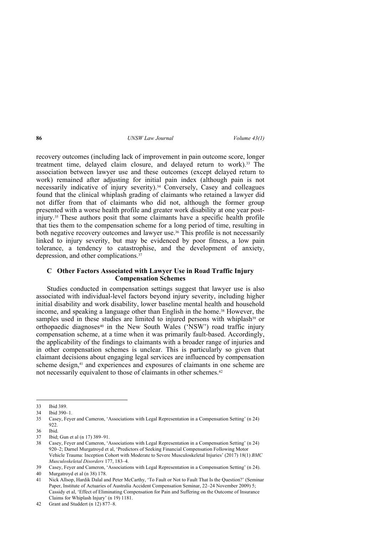recovery outcomes (including lack of improvement in pain outcome score, longer treatment time, delayed claim closure, and delayed return to work).33 The association between lawyer use and these outcomes (except delayed return to work) remained after adjusting for initial pain index (although pain is not necessarily indicative of injury severity).<sup>34</sup> Conversely, Casey and colleagues found that the clinical whiplash grading of claimants who retained a lawyer did not differ from that of claimants who did not, although the former group presented with a worse health profile and greater work disability at one year postinjury.35 These authors posit that some claimants have a specific health profile that ties them to the compensation scheme for a long period of time, resulting in both negative recovery outcomes and lawyer use.36 This profile is not necessarily linked to injury severity, but may be evidenced by poor fitness, a low pain tolerance, a tendency to catastrophise, and the development of anxiety, depression, and other complications.37

## **C Other Factors Associated with Lawyer Use in Road Traffic Injury Compensation Schemes**

Studies conducted in compensation settings suggest that lawyer use is also associated with individual-level factors beyond injury severity, including higher initial disability and work disability, lower baseline mental health and household income, and speaking a language other than English in the home.38 However, the samples used in these studies are limited to injured persons with whiplash $39$  or orthopaedic diagnoses $40$  in the New South Wales ('NSW') road traffic injury compensation scheme, at a time when it was primarily fault-based. Accordingly, the applicability of the findings to claimants with a broader range of injuries and in other compensation schemes is unclear. This is particularly so given that claimant decisions about engaging legal services are influenced by compensation scheme design,<sup>41</sup> and experiences and exposures of claimants in one scheme are not necessarily equivalent to those of claimants in other schemes.<sup>42</sup>

<sup>33</sup> Ibid 389.

<sup>34</sup> Ibid 390–1.

<sup>35</sup> Casey, Feyer and Cameron, 'Associations with Legal Representation in a Compensation Setting' (n 24) 922.

<sup>36</sup> Ibid.

<sup>37</sup> Ibid; Gun et al (n 17) 389–91.

<sup>38</sup> Casey, Feyer and Cameron, 'Associations with Legal Representation in a Compensation Setting' (n 24) 920–2; Darnel Murgatroyd et al, 'Predictors of Seeking Financial Compensation Following Motor Vehicle Trauma: Inception Cohort with Moderate to Severe Musculoskeletal Injuries' (2017) 18(1) *BMC Musculoskeletal Disorders* 177, 183–4.

<sup>39</sup> Casey, Feyer and Cameron, 'Associations with Legal Representation in a Compensation Setting' (n 24).

<sup>40</sup> Murgatroyd et al (n 38) 178.

<sup>41</sup> Nick Allsop, Hardik Dalal and Peter McCarthy, 'To Fault or Not to Fault That Is the Question?' (Seminar Paper, Institute of Actuaries of Australia Accident Compensation Seminar, 22–24 November 2009) 5; Cassidy et al, 'Effect of Eliminating Compensation for Pain and Suffering on the Outcome of Insurance Claims for Whiplash Injury' (n 19) 1181.

<sup>42</sup> Grant and Studdert (n 12) 877–8.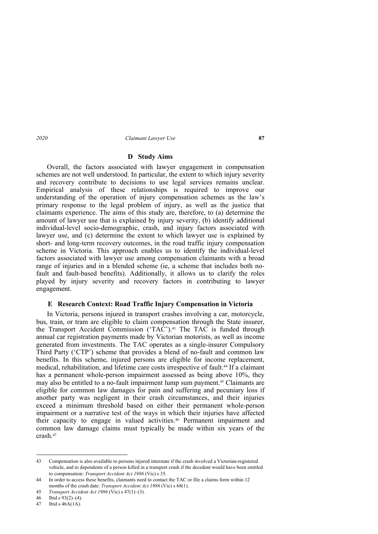## **D Study Aims**

Overall, the factors associated with lawyer engagement in compensation schemes are not well understood. In particular, the extent to which injury severity and recovery contribute to decisions to use legal services remains unclear. Empirical analysis of these relationships is required to improve our understanding of the operation of injury compensation schemes as the law's primary response to the legal problem of injury, as well as the justice that claimants experience. The aims of this study are, therefore, to (a) determine the amount of lawyer use that is explained by injury severity, (b) identify additional individual-level socio-demographic, crash, and injury factors associated with lawyer use, and (c) determine the extent to which lawyer use is explained by short- and long-term recovery outcomes, in the road traffic injury compensation scheme in Victoria. This approach enables us to identify the individual-level factors associated with lawyer use among compensation claimants with a broad range of injuries and in a blended scheme (ie, a scheme that includes both nofault and fault-based benefits). Additionally, it allows us to clarify the roles played by injury severity and recovery factors in contributing to lawyer engagement.

### **E Research Context: Road Traffic Injury Compensation in Victoria**

In Victoria, persons injured in transport crashes involving a car, motorcycle, bus, train, or tram are eligible to claim compensation through the State insurer, the Transport Accident Commission ('TAC').43 The TAC is funded through annual car registration payments made by Victorian motorists, as well as income generated from investments. The TAC operates as a single-insurer Compulsory Third Party ('CTP') scheme that provides a blend of no-fault and common law benefits. In this scheme, injured persons are eligible for income replacement, medical, rehabilitation, and lifetime care costs irrespective of fault.44 If a claimant has a permanent whole-person impairment assessed as being above 10%, they may also be entitled to a no-fault impairment lump sum payment.45 Claimants are eligible for common law damages for pain and suffering and pecuniary loss if another party was negligent in their crash circumstances, and their injuries exceed a minimum threshold based on either their permanent whole-person impairment or a narrative test of the ways in which their injuries have affected their capacity to engage in valued activities.46 Permanent impairment and common law damage claims must typically be made within six years of the crash <sup>47</sup>

<sup>43</sup> Compensation is also available to persons injured interstate if the crash involved a Victorian-registered vehicle, and to dependents of a person killed in a transport crash if the decedent would have been entitled to compensation: *Transport Accident Act 1986* (Vic) s 35.

<sup>44</sup> In order to access these benefits, claimants need to contact the TAC or file a claims form within 12 months of the crash date: *Transport Accident Act 1986* (Vic) s 68(1).

<sup>45</sup> *Transport Accident Act 1986* (Vic) s 47(1)–(3).

<sup>46</sup> Ibid s 93(2)–(4).

<sup>47</sup> Ibid s 46A(1A).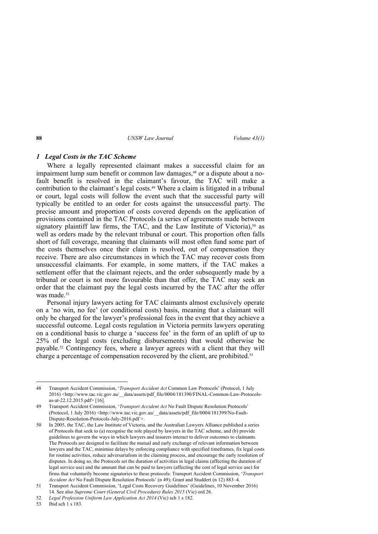## *1 Legal Costs in the TAC Scheme*

Where a legally represented claimant makes a successful claim for an impairment lump sum benefit or common law damages,<sup>48</sup> or a dispute about a nofault benefit is resolved in the claimant's favour, the TAC will make a contribution to the claimant's legal costs.49 Where a claim is litigated in a tribunal or court, legal costs will follow the event such that the successful party will typically be entitled to an order for costs against the unsuccessful party. The precise amount and proportion of costs covered depends on the application of provisions contained in the TAC Protocols (a series of agreements made between signatory plaintiff law firms, the TAC, and the Law Institute of Victoria), $50$  as well as orders made by the relevant tribunal or court. This proportion often falls short of full coverage, meaning that claimants will most often fund some part of the costs themselves once their claim is resolved, out of compensation they receive. There are also circumstances in which the TAC may recover costs from unsuccessful claimants. For example, in some matters, if the TAC makes a settlement offer that the claimant rejects, and the order subsequently made by a tribunal or court is not more favourable than that offer, the TAC may seek an order that the claimant pay the legal costs incurred by the TAC after the offer was made.<sup>51</sup>

Personal injury lawyers acting for TAC claimants almost exclusively operate on a 'no win, no fee' (or conditional costs) basis, meaning that a claimant will only be charged for the lawyer's professional fees in the event that they achieve a successful outcome. Legal costs regulation in Victoria permits lawyers operating on a conditional basis to charge a 'success fee' in the form of an uplift of up to 25% of the legal costs (excluding disbursements) that would otherwise be payable.52 Contingency fees, where a lawyer agrees with a client that they will charge a percentage of compensation recovered by the client, are prohibited.<sup>53</sup>

53 Ibid sch 1 s 183.

<sup>48</sup> Transport Accident Commission, '*Transport Accident Act* Common Law Protocols' (Protocol, 1 July 2016) <http://www.tac.vic.gov.au/ data/assets/pdf file/0004/181390/FINAL-Common-Law-Protocolsas-at-22.12.2015.pdf> [16].

<sup>49</sup> Transport Accident Commission, '*Transport Accident Act* No Fault Dispute Resolution Protocols' (Protocol, 1 July 2016) <http://www.tac.vic.gov.au/\_\_data/assets/pdf\_file/0004/181399/No-Fault-Dispute-Resolution-Protocols-July-2016.pdf >.

<sup>50</sup> In 2005, the TAC, the Law Institute of Victoria, and the Australian Lawyers Alliance published a series of Protocols that seek to (a) recognise the role played by lawyers in the TAC scheme, and (b) provide guidelines to govern the ways in which lawyers and insurers interact to deliver outcomes to claimants. The Protocols are designed to facilitate the mutual and early exchange of relevant information between lawyers and the TAC, minimise delays by enforcing compliance with specified timeframes, fix legal costs for routine activities, reduce adversarialism in the claiming process, and encourage the early resolution of disputes. In doing so, the Protocols set the duration of activities in legal claims (affecting the duration of legal service use) and the amount that can be paid to lawyers (affecting the cost of legal service use) for firms that voluntarily become signatories to these protocols: Transport Accident Commission, '*Transport Accident Act* No Fault Dispute Resolution Protocols' (n 49); Grant and Studdert (n 12) 883–4.

<sup>51</sup> Transport Accident Commission, 'Legal Costs Recovery Guidelines' (Guidelines, 10 November 2016) 14. See also *Supreme Court (General Civil Procedure) Rules 2015* (Vic) ord 26.

<sup>52</sup> *Legal Profession Uniform Law Application Act 2014* (Vic) sch 1 s 182.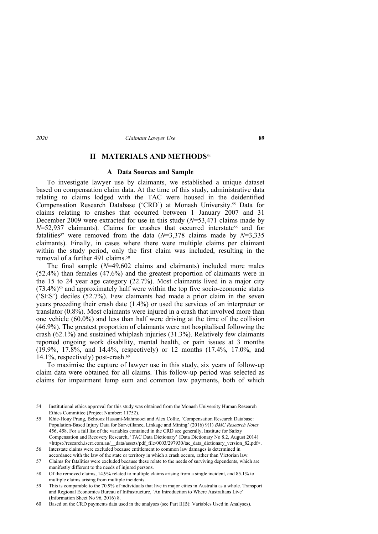## **II MATERIALS AND METHODS**<sup>54</sup>

### **A Data Sources and Sample**

To investigate lawyer use by claimants, we established a unique dataset based on compensation claim data. At the time of this study, administrative data relating to claims lodged with the TAC were housed in the deidentified Compensation Research Database ('CRD') at Monash University.55 Data for claims relating to crashes that occurred between 1 January 2007 and 31 December 2009 were extracted for use in this study (*N*=53,471 claims made by  $N=52.937$  claimants). Claims for crashes that occurred interstate<sup>56</sup> and for fatalities<sup>57</sup> were removed from the data  $(N=3,378)$  claims made by  $N=3,335$ claimants). Finally, in cases where there were multiple claims per claimant within the study period, only the first claim was included, resulting in the removal of a further 491 claims.<sup>58</sup>

The final sample (*N*=49,602 claims and claimants) included more males (52.4%) than females (47.6%) and the greatest proportion of claimants were in the 15 to 24 year age category (22.7%). Most claimants lived in a major city  $(73.4\%)$ <sup>59</sup> and approximately half were within the top five socio-economic status ('SES') deciles (52.7%). Few claimants had made a prior claim in the seven years preceding their crash date (1.4%) or used the services of an interpreter or translator (0.8%). Most claimants were injured in a crash that involved more than one vehicle (60.0%) and less than half were driving at the time of the collision (46.9%). The greatest proportion of claimants were not hospitalised following the crash (62.1%) and sustained whiplash injuries (31.3%). Relatively few claimants reported ongoing work disability, mental health, or pain issues at 3 months (19.9%, 17.8%, and 14.4%, respectively) or 12 months (17.4%, 17.0%, and 14.1%, respectively) post-crash.<sup>60</sup>

To maximise the capture of lawyer use in this study, six years of follow-up claim data were obtained for all claims. This follow-up period was selected as claims for impairment lump sum and common law payments, both of which

<sup>54</sup> Institutional ethics approval for this study was obtained from the Monash University Human Research Ethics Committee (Project Number: 11752).

<sup>55</sup> Khic-Houy Prang, Behrooz Hassani-Mahmooei and Alex Collie, 'Compensation Research Database: Population-Based Injury Data for Surveillance, Linkage and Mining' (2016) 9(1) *BMC Research Notes* 456, 458. For a full list of the variables contained in the CRD see generally, Institute for Safety Compensation and Recovery Research, 'TAC Data Dictionary' (Data Dictionary No 8.2, August 2014) <https://research.iscrr.com.au/\_data/assets/pdf\_file/0003/297930/tac\_data\_dictionary\_version\_82.pdf>.

<sup>56</sup> Interstate claims were excluded because entitlement to common law damages is determined in accordance with the law of the state or territory in which a crash occurs, rather than Victorian law.

<sup>57</sup> Claims for fatalities were excluded because these relate to the needs of surviving dependents, which are manifestly different to the needs of injured persons.

<sup>58</sup> Of the removed claims, 14.9% related to multiple claims arising from a single incident, and 85.1% to multiple claims arising from multiple incidents.

<sup>59</sup> This is comparable to the 70.9% of individuals that live in major cities in Australia as a whole. Transport and Regional Economics Bureau of Infrastructure, 'An Introduction to Where Australians Live' (Information Sheet No 96, 2016) 8.

<sup>60</sup> Based on the CRD payments data used in the analyses (see Part II(B): Variables Used in Analyses).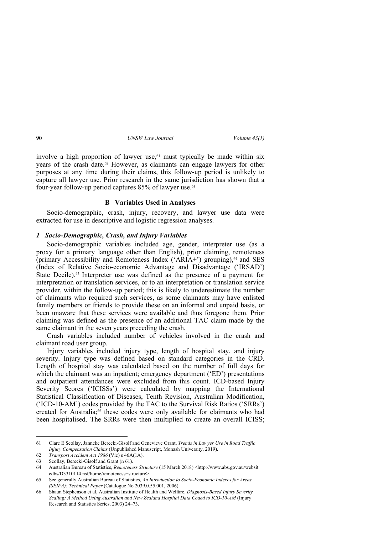involve a high proportion of lawyer use, $61$  must typically be made within six years of the crash date.<sup>62</sup> However, as claimants can engage lawyers for other purposes at any time during their claims, this follow-up period is unlikely to capture all lawyer use. Prior research in the same jurisdiction has shown that a four-year follow-up period captures 85% of lawyer use.63

### **B Variables Used in Analyses**

Socio-demographic, crash, injury, recovery, and lawyer use data were extracted for use in descriptive and logistic regression analyses.

### *1 Socio-Demographic, Crash, and Injury Variables*

Socio-demographic variables included age, gender, interpreter use (as a proxy for a primary language other than English), prior claiming, remoteness (primary Accessibility and Remoteness Index  $(ARIA<sup>+</sup>)$  grouping),<sup>64</sup> and SES (Index of Relative Socio-economic Advantage and Disadvantage ('IRSAD') State Decile).<sup>65</sup> Interpreter use was defined as the presence of a payment for interpretation or translation services, or to an interpretation or translation service provider, within the follow-up period; this is likely to underestimate the number of claimants who required such services, as some claimants may have enlisted family members or friends to provide these on an informal and unpaid basis, or been unaware that these services were available and thus foregone them. Prior claiming was defined as the presence of an additional TAC claim made by the same claimant in the seven years preceding the crash.

Crash variables included number of vehicles involved in the crash and claimant road user group.

Injury variables included injury type, length of hospital stay, and injury severity. Injury type was defined based on standard categories in the CRD. Length of hospital stay was calculated based on the number of full days for which the claimant was an inpatient; emergency department ('ED') presentations and outpatient attendances were excluded from this count. ICD-based Injury Severity Scores ('ICISSs') were calculated by mapping the International Statistical Classification of Diseases, Tenth Revision, Australian Modification, ('ICD-10-AM') codes provided by the TAC to the Survival Risk Ratios ('SRRs') created for Australia;<sup>66</sup> these codes were only available for claimants who had been hospitalised. The SRRs were then multiplied to create an overall ICISS;

<sup>61</sup> Clare E Scollay, Janneke Berecki-Gisolf and Genevieve Grant, *Trends in Lawyer Use in Road Traffic Injury Compensation Claims* (Unpublished Manuscript, Monash University, 2019).

<sup>62</sup> *Transport Accident Act 1986* (Vic) s 46A(1A).

<sup>63</sup> Scollay, Berecki-Gisolf and Grant (n 61).

<sup>64</sup> Australian Bureau of Statistics, *Remoteness Structure* (15 March 2018) <http://www.abs.gov.au/websit edbs/D3310114.nsf/home/remoteness+structure>.

<sup>65</sup> See generally Australian Bureau of Statistics, *An Introduction to Socio-Economic Indexes for Areas (SEIFA): Technical Paper* (Catalogue No 2039.0.55.001, 2006).

<sup>66</sup> Shaun Stephenson et al, Australian Institute of Health and Welfare, *Diagnosis-Based Injury Severity Scaling: A Method Using Australian and New Zealand Hospital Data Coded to ICD-10-AM* (Injury Research and Statistics Series, 2003) 24–73.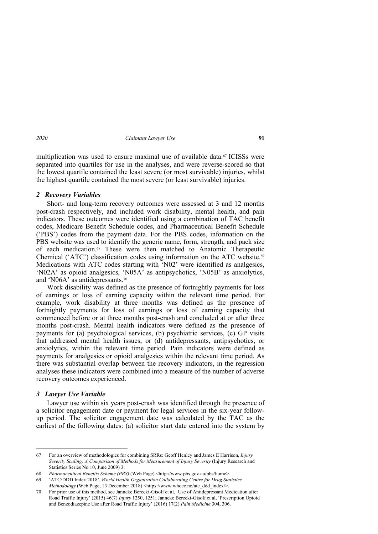multiplication was used to ensure maximal use of available data.<sup>67</sup> ICISSs were separated into quartiles for use in the analyses, and were reverse-scored so that the lowest quartile contained the least severe (or most survivable) injuries, whilst the highest quartile contained the most severe (or least survivable) injuries.

## *2 Recovery Variables*

Short- and long-term recovery outcomes were assessed at 3 and 12 months post-crash respectively, and included work disability, mental health, and pain indicators. These outcomes were identified using a combination of TAC benefit codes, Medicare Benefit Schedule codes, and Pharmaceutical Benefit Schedule ('PBS') codes from the payment data. For the PBS codes, information on the PBS website was used to identify the generic name, form, strength, and pack size of each medication.68 These were then matched to Anatomic Therapeutic Chemical ('ATC') classification codes using information on the ATC website.<sup>69</sup> Medications with ATC codes starting with 'N02' were identified as analgesics, 'N02A' as opioid analgesics, 'N05A' as antipsychotics, 'N05B' as anxiolytics, and 'N06A' as antidepressants.70

Work disability was defined as the presence of fortnightly payments for loss of earnings or loss of earning capacity within the relevant time period. For example, work disability at three months was defined as the presence of fortnightly payments for loss of earnings or loss of earning capacity that commenced before or at three months post-crash and concluded at or after three months post-crash. Mental health indicators were defined as the presence of payments for (a) psychological services, (b) psychiatric services, (c) GP visits that addressed mental health issues, or (d) antidepressants, antipsychotics, or anxiolytics, within the relevant time period. Pain indicators were defined as payments for analgesics or opioid analgesics within the relevant time period. As there was substantial overlap between the recovery indicators, in the regression analyses these indicators were combined into a measure of the number of adverse recovery outcomes experienced.

## *3 Lawyer Use Variable*

Lawyer use within six years post-crash was identified through the presence of a solicitor engagement date or payment for legal services in the six-year followup period. The solicitor engagement date was calculated by the TAC as the earliest of the following dates: (a) solicitor start date entered into the system by

<sup>67</sup> For an overview of methodologies for combining SRRs: Geoff Henley and James E Harrison, *Injury Severity Scaling: A Comparison of Methods for Measurement of Injury Severity* (Injury Research and Statistics Series No 10, June 2009) 3.

<sup>68</sup> *Pharmaceutical Benefits Scheme (PBS)* (Web Page) <http://www.pbs.gov.au/pbs/home>.

<sup>69 &#</sup>x27;ATC/DDD Index 2018', *World Health Organization Collaborating Centre for Drug Statistics Methodology* (Web Page, 13 December 2018) <https://www.whocc.no/atc\_ddd\_index/>.

<sup>70</sup> For prior use of this method, see Janneke Berecki-Gisolf et al, 'Use of Antidepressant Medication after Road Traffic Injury' (2015) 46(7) *Injury* 1250, 1251; Janneke Berecki-Gisolf et al, 'Prescription Opioid and Benzodiazepine Use after Road Traffic Injury' (2016) 17(2) *Pain Medicine* 304, 306.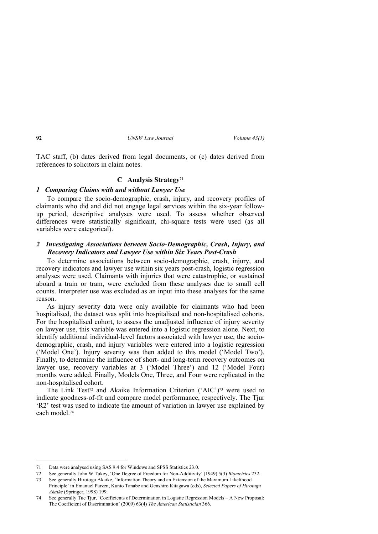TAC staff, (b) dates derived from legal documents, or (c) dates derived from references to solicitors in claim notes.

## **C Analysis Strategy**<sup>71</sup>

### *1 Comparing Claims with and without Lawyer Use*

To compare the socio-demographic, crash, injury, and recovery profiles of claimants who did and did not engage legal services within the six-year followup period, descriptive analyses were used. To assess whether observed differences were statistically significant, chi-square tests were used (as all variables were categorical).

## *2 Investigating Associations between Socio-Demographic, Crash, Injury, and Recovery Indicators and Lawyer Use within Six Years Post-Crash*

To determine associations between socio-demographic, crash, injury, and recovery indicators and lawyer use within six years post-crash, logistic regression analyses were used. Claimants with injuries that were catastrophic, or sustained aboard a train or tram, were excluded from these analyses due to small cell counts. Interpreter use was excluded as an input into these analyses for the same reason.

As injury severity data were only available for claimants who had been hospitalised, the dataset was split into hospitalised and non-hospitalised cohorts. For the hospitalised cohort, to assess the unadjusted influence of injury severity on lawyer use, this variable was entered into a logistic regression alone. Next, to identify additional individual-level factors associated with lawyer use, the sociodemographic, crash, and injury variables were entered into a logistic regression ('Model One'). Injury severity was then added to this model ('Model Two'). Finally, to determine the influence of short- and long-term recovery outcomes on lawyer use, recovery variables at 3 ('Model Three') and 12 ('Model Four) months were added. Finally, Models One, Three, and Four were replicated in the non-hospitalised cohort.

The Link Test<sup>72</sup> and Akaike Information Criterion  $(^{\circ}AIC^{\prime})^{73}$  were used to indicate goodness-of-fit and compare model performance, respectively. The Tjur 'R2' test was used to indicate the amount of variation in lawyer use explained by each model<sup>74</sup>

<sup>71</sup> Data were analysed using SAS 9.4 for Windows and SPSS Statistics 23.0.

<sup>72</sup> See generally John W Tukey, 'One Degree of Freedom for Non-Additivity' (1949) 5(3) *Biometrics* 232.

<sup>73</sup> See generally Hirotogu Akaike, 'Information Theory and an Extension of the Maximum Likelihood Principle' in Emanuel Parzen, Kunio Tanabe and Genshiro Kitagawa (eds), *Selected Papers of Hirotugu Akaike* (Springer, 1998) 199.

<sup>74</sup> See generally Tue Tjur, 'Coefficients of Determination in Logistic Regression Models – A New Proposal: The Coefficient of Discrimination' (2009) 63(4) *The American Statistician* 366.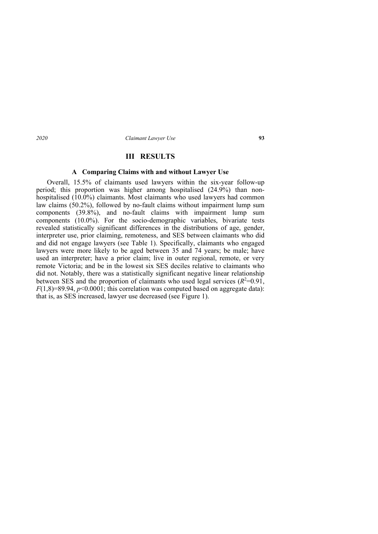## **III RESULTS**

### **A Comparing Claims with and without Lawyer Use**

Overall, 15.5% of claimants used lawyers within the six-year follow-up period; this proportion was higher among hospitalised (24.9%) than nonhospitalised (10.0%) claimants. Most claimants who used lawyers had common law claims (50.2%), followed by no-fault claims without impairment lump sum components (39.8%), and no-fault claims with impairment lump sum components (10.0%). For the socio-demographic variables, bivariate tests revealed statistically significant differences in the distributions of age, gender, interpreter use, prior claiming, remoteness, and SES between claimants who did and did not engage lawyers (see Table 1). Specifically, claimants who engaged lawyers were more likely to be aged between 35 and 74 years; be male; have used an interpreter; have a prior claim; live in outer regional, remote, or very remote Victoria; and be in the lowest six SES deciles relative to claimants who did not. Notably, there was a statistically significant negative linear relationship between SES and the proportion of claimants who used legal services  $(R^2=0.91)$ ,  $F(1,8)=89.94$ ,  $p<0.0001$ ; this correlation was computed based on aggregate data): that is, as SES increased, lawyer use decreased (see Figure 1).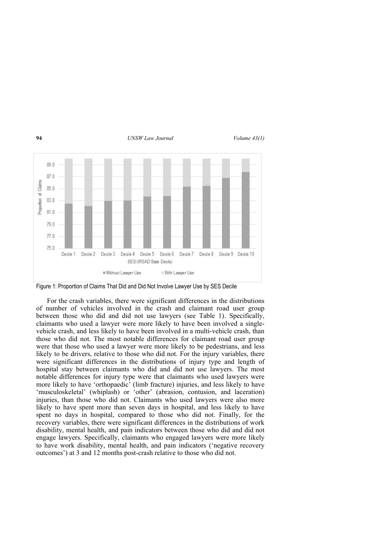#### **94** *UNSW Law Journal Volume 43(1)*



Figure 1: Proportion of Claims That Did and Did Not Involve Lawyer Use by SES Decile

For the crash variables, there were significant differences in the distributions of number of vehicles involved in the crash and claimant road user group between those who did and did not use lawyers (see Table 1). Specifically, claimants who used a lawyer were more likely to have been involved a singlevehicle crash, and less likely to have been involved in a multi-vehicle crash, than those who did not. The most notable differences for claimant road user group were that those who used a lawyer were more likely to be pedestrians, and less likely to be drivers, relative to those who did not. For the injury variables, there were significant differences in the distributions of injury type and length of hospital stay between claimants who did and did not use lawyers. The most notable differences for injury type were that claimants who used lawyers were more likely to have 'orthopaedic' (limb fracture) injuries, and less likely to have 'musculoskeletal' (whiplash) or 'other' (abrasion, contusion, and laceration) injuries, than those who did not. Claimants who used lawyers were also more likely to have spent more than seven days in hospital, and less likely to have spent no days in hospital, compared to those who did not. Finally, for the recovery variables, there were significant differences in the distributions of work disability, mental health, and pain indicators between those who did and did not engage lawyers. Specifically, claimants who engaged lawyers were more likely to have work disability, mental health, and pain indicators ('negative recovery outcomes') at 3 and 12 months post-crash relative to those who did not.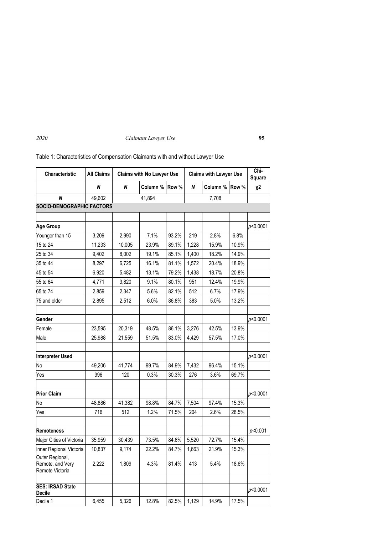| Characteristic                                         | <b>All Claims</b> | <b>Claims with No Lawyer Use</b> |          |       | <b>Claims with Lawyer Use</b> |                |       | Chi-<br><b>Square</b> |
|--------------------------------------------------------|-------------------|----------------------------------|----------|-------|-------------------------------|----------------|-------|-----------------------|
|                                                        | N                 | N                                | Column % | Row % | N                             | Column % Row % |       | χ2                    |
| N                                                      | 49,602            |                                  | 41,894   |       |                               | 7,708          |       |                       |
| <b>SOCIO-DEMOGRAPHIC FACTORS</b>                       |                   |                                  |          |       |                               |                |       |                       |
|                                                        |                   |                                  |          |       |                               |                |       |                       |
| <b>Age Group</b>                                       |                   |                                  |          |       |                               |                |       | p<0.0001              |
| Younger than 15                                        | 3,209             | 2,990                            | 7.1%     | 93.2% | 219                           | 2.8%           | 6.8%  |                       |
| 15 to 24                                               | 11,233            | 10,005                           | 23.9%    | 89.1% | 1,228                         | 15.9%          | 10.9% |                       |
| 25 to 34                                               | 9,402             | 8,002                            | 19.1%    | 85.1% | 1,400                         | 18.2%          | 14.9% |                       |
| 35 to 44                                               | 8,297             | 6,725                            | 16.1%    | 81.1% | 1,572                         | 20.4%          | 18.9% |                       |
| 45 to 54                                               | 6,920             | 5,482                            | 13.1%    | 79.2% | 1,438                         | 18.7%          | 20.8% |                       |
| 55 to 64                                               | 4,771             | 3,820                            | 9.1%     | 80.1% | 951                           | 12.4%          | 19.9% |                       |
| 65 to 74                                               | 2,859             | 2,347                            | 5.6%     | 82.1% | 512                           | 6.7%           | 17.9% |                       |
| 75 and older                                           | 2,895             | 2,512                            | 6.0%     | 86.8% | 383                           | 5.0%           | 13.2% |                       |
|                                                        |                   |                                  |          |       |                               |                |       |                       |
| Gender                                                 |                   |                                  |          |       |                               |                |       | p<0.0001              |
| Female                                                 | 23,595            | 20,319                           | 48.5%    | 86.1% | 3,276                         | 42.5%          | 13.9% |                       |
| Male                                                   | 25,988            | 21,559                           | 51.5%    | 83.0% | 4,429                         | 57.5%          | 17.0% |                       |
|                                                        |                   |                                  |          |       |                               |                |       |                       |
| Interpreter Used                                       |                   |                                  |          |       |                               |                |       | p<0.0001              |
| No                                                     | 49,206            | 41,774                           | 99.7%    | 84.9% | 7,432                         | 96.4%          | 15.1% |                       |
| Yes                                                    | 396               | 120                              | 0.3%     | 30.3% | 276                           | 3.6%           | 69.7% |                       |
|                                                        |                   |                                  |          |       |                               |                |       |                       |
| <b>Prior Claim</b>                                     |                   |                                  |          |       |                               |                |       | p<0.0001              |
| No                                                     | 48,886            | 41,382                           | 98.8%    | 84.7% | 7,504                         | 97.4%          | 15.3% |                       |
| Yes                                                    | 716               | 512                              | 1.2%     | 71.5% | 204                           | 2.6%           | 28.5% |                       |
|                                                        |                   |                                  |          |       |                               |                |       |                       |
| <b>Remoteness</b>                                      |                   |                                  |          |       |                               |                |       | p<0.001               |
| Major Cities of Victoria                               | 35,959            | 30,439                           | 73.5%    | 84.6% | 5,520                         | 72.7%          | 15.4% |                       |
| Inner Regional Victoria                                | 10,837            | 9,174                            | 22.2%    | 84.7% | 1,663                         | 21.9%          | 15.3% |                       |
| Outer Regional,<br>Remote, and Very<br>Remote Victoria | 2,222             | 1,809                            | 4.3%     | 81.4% | 413                           | 5.4%           | 18.6% |                       |
|                                                        |                   |                                  |          |       |                               |                |       |                       |
| <b>SES: IRSAD State</b><br><b>Decile</b>               |                   |                                  |          |       |                               |                |       | p<0.0001              |
| Decile 1                                               | 6,455             | 5,326                            | 12.8%    | 82.5% | 1,129                         | 14.9%          | 17.5% |                       |

# Table 1: Characteristics of Compensation Claimants with and without Lawyer Use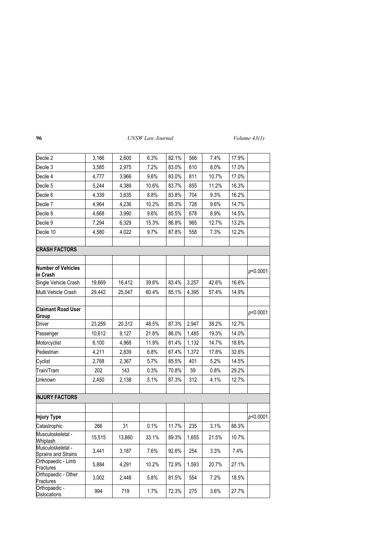| Decile 2                                 | 3,166  | 2,600  | 6.3%  | 82.1% | 566   | 7.4%    | 17.9% |          |
|------------------------------------------|--------|--------|-------|-------|-------|---------|-------|----------|
| Decile 3                                 | 3,585  | 2,975  | 7.2%  | 83.0% | 610   | $8.0\%$ | 17.0% |          |
| Decile 4                                 | 4,777  | 3,966  | 9.6%  | 83.0% | 811   | 10.7%   | 17.0% |          |
| Decile 5                                 | 5,244  | 4,389  | 10.6% | 83.7% | 855   | 11.2%   | 16.3% |          |
| Decile 6                                 | 4,339  | 3,635  | 8.8%  | 83.8% | 704   | 9.3%    | 16.2% |          |
| Decile 7                                 | 4,964  | 4,236  | 10.2% | 85.3% | 728   | 9.6%    | 14.7% |          |
| Decile 8                                 | 4,668  | 3,990  | 9.6%  | 85.5% | 678   | 8.9%    | 14.5% |          |
| Decile 9                                 | 7,294  | 6,329  | 15.3% | 86.8% | 965   | 12.7%   | 13.2% |          |
| Decile 10                                | 4,580  | 4,022  | 9.7%  | 87.8% | 558   | 7.3%    | 12.2% |          |
| <b>CRASH FACTORS</b>                     |        |        |       |       |       |         |       |          |
|                                          |        |        |       |       |       |         |       |          |
| <b>Number of Vehicles</b><br>in Crash    |        |        |       |       |       |         |       | p<0.0001 |
| Single Vehicle Crash                     | 19,669 | 16,412 | 39.6% | 83.4% | 3,257 | 42.6%   | 16.6% |          |
| Multi Vehicle Crash                      | 29,442 | 25,047 | 60.4% | 85.1% | 4,395 | 57.4%   | 14.9% |          |
|                                          |        |        |       |       |       |         |       |          |
| <b>Claimant Road User</b><br>Group       |        |        |       |       |       |         |       | p<0.0001 |
| <b>Driver</b>                            | 23,259 | 20,312 | 48.5% | 87.3% | 2,947 | 38.2%   | 12.7% |          |
| Passenger                                | 10,612 | 9,127  | 21.8% | 86.0% | 1,485 | 19.3%   | 14.0% |          |
| Motorcyclist                             | 6,100  | 4,968  | 11.9% | 81.4% | 1,132 | 14.7%   | 18.6% |          |
| Pedestrian                               | 4,211  | 2,839  | 6.8%  | 67.4% | 1,372 | 17.8%   | 32.6% |          |
| Cyclist                                  | 2,768  | 2,367  | 5.7%  | 85.5% | 401   | 5.2%    | 14.5% |          |
| Train/Tram                               | 202    | 143    | 0.3%  | 70.8% | 59    | 0.8%    | 29.2% |          |
| Unknown                                  | 2,450  | 2,138  | 5.1%  | 87.3% | 312   | 4.1%    | 12.7% |          |
|                                          |        |        |       |       |       |         |       |          |
| <b>INJURY FACTORS</b>                    |        |        |       |       |       |         |       |          |
|                                          |        |        |       |       |       |         |       |          |
| <b>Injury Type</b>                       |        |        |       |       |       |         |       | p<0.0001 |
| Catastrophic                             | 266    | 31     | 0.1%  | 11.7% | 235   | 3.1%    | 88.3% |          |
| Musculoskeletal -<br>Whiplash            | 15,515 | 13,860 | 33.1% | 89.3% | 1,655 | 21.5%   | 10.7% |          |
| Musculoskeletal -<br>Sprains and Strains | 3,441  | 3,187  | 7.6%  | 92.6% | 254   | 3.3%    | 7.4%  |          |
| Orthopaedic - Limb<br>Fractures          | 5,884  | 4,291  | 10.2% | 72.9% | 1,593 | 20.7%   | 27.1% |          |
| Orthopaedic - Other<br>Fractures         | 3,002  | 2,448  | 5.8%  | 81.5% | 554   | 7.2%    | 18.5% |          |
| Orthopaedic -<br>Dislocations            | 994    | 719    | 1.7%  | 72.3% | 275   | 3.6%    | 27.7% |          |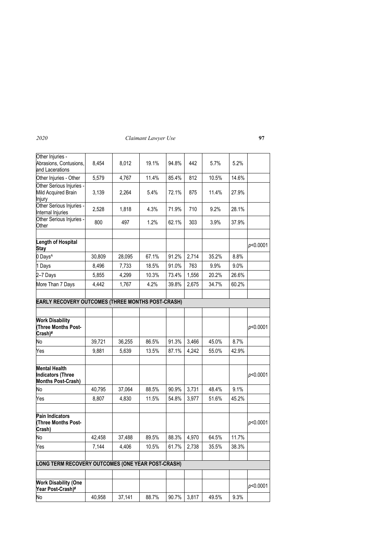| Other Injuries -<br>Abrasions, Contusions,<br>and Lacerations                 | 8,454  | 8,012  | 19.1% | 94.8% | 442   | 5.7%  | 5.2%  |          |
|-------------------------------------------------------------------------------|--------|--------|-------|-------|-------|-------|-------|----------|
| Other Injuries - Other                                                        | 5,579  | 4,767  | 11.4% | 85.4% | 812   | 10.5% | 14.6% |          |
| Other Serious Injuries -<br>Mild Acquired Brain<br>Injury                     | 3,139  | 2,264  | 5.4%  | 72.1% | 875   | 11.4% | 27.9% |          |
| Other Serious Injuries -<br>Internal Injuries                                 | 2,528  | 1,818  | 4.3%  | 71.9% | 710   | 9.2%  | 28.1% |          |
| Other Serious Injuries -<br>Other                                             | 800    | 497    | 1.2%  | 62.1% | 303   | 3.9%  | 37.9% |          |
| Length of Hospital<br>Stay                                                    |        |        |       |       |       |       |       | p<0.0001 |
| 0 Days <sup>^</sup>                                                           | 30,809 | 28,095 | 67.1% | 91.2% | 2,714 | 35.2% | 8.8%  |          |
| 1 Days                                                                        | 8,496  | 7,733  | 18.5% | 91.0% | 763   | 9.9%  | 9.0%  |          |
| 2-7 Days                                                                      | 5,855  | 4,299  | 10.3% | 73.4% | 1,556 | 20.2% | 26.6% |          |
| More Than 7 Days                                                              | 4,442  | 1,767  | 4.2%  | 39.8% | 2,675 | 34.7% | 60.2% |          |
| EARLY RECOVERY OUTCOMES (THREE MONTHS POST-CRASH)                             |        |        |       |       |       |       |       |          |
|                                                                               |        |        |       |       |       |       |       |          |
| <b>Work Disability</b><br><b>Three Months Post-</b><br>Crash)#                |        |        |       |       |       |       |       | p<0.0001 |
| No                                                                            | 39,721 | 36,255 | 86.5% | 91.3% | 3,466 | 45.0% | 8.7%  |          |
| Yes                                                                           | 9,881  | 5,639  | 13.5% | 87.1% | 4,242 | 55.0% | 42.9% |          |
| <b>Mental Health</b><br><b>Indicators (Three</b><br><b>Months Post-Crash)</b> |        |        |       |       |       |       |       | p<0.0001 |
| No                                                                            | 40,795 | 37,064 | 88.5% | 90.9% | 3,731 | 48.4% | 9.1%  |          |
| Yes                                                                           | 8,807  | 4,830  | 11.5% | 54.8% | 3,977 | 51.6% | 45.2% |          |
| Pain Indicators<br><b>Three Months Post-</b><br>Crash)                        |        |        |       |       |       |       |       | p<0.0001 |
| No                                                                            | 42,458 | 37,488 | 89.5% | 88.3% | 4,970 | 64.5% | 11.7% |          |
| Yes                                                                           | 7,144  | 4,406  | 10.5% | 61.7% | 2,738 | 35.5% | 38.3% |          |
|                                                                               |        |        |       |       |       |       |       |          |
| LONG TERM RECOVERY OUTCOMES (ONE YEAR POST-CRASH)                             |        |        |       |       |       |       |       |          |
|                                                                               |        |        |       |       |       |       |       |          |
| <b>Work Disability (One</b><br>Year Post-Crash)#                              |        |        |       |       |       |       |       | p<0.0001 |
| No                                                                            | 40,958 | 37,141 | 88.7% | 90.7% | 3,817 | 49.5% | 9.3%  |          |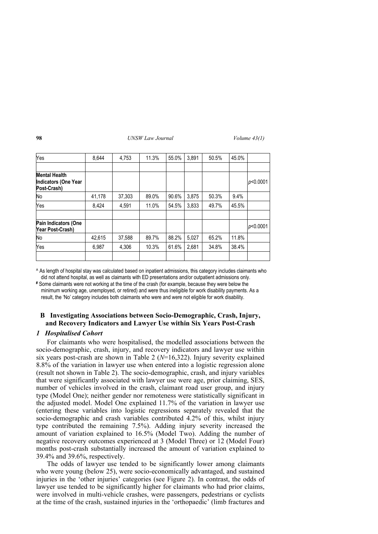| Yes                                                         | 8.644  | 4,753  | 11.3% | 55.0% | 3.891 | 50.5% | 45.0% |          |
|-------------------------------------------------------------|--------|--------|-------|-------|-------|-------|-------|----------|
|                                                             |        |        |       |       |       |       |       |          |
| <b>Mental Health</b><br>Indicators (One Year<br>Post-Crash) |        |        |       |       |       |       |       | p<0.0001 |
| No                                                          | 41,178 | 37,303 | 89.0% | 90.6% | 3,875 | 50.3% | 9.4%  |          |
| Yes                                                         | 8,424  | 4,591  | 11.0% | 54.5% | 3,833 | 49.7% | 45.5% |          |
|                                                             |        |        |       |       |       |       |       |          |
| Pain Indicators (One<br>Year Post-Crash)                    |        |        |       |       |       |       |       | p<0.0001 |
| <b>No</b>                                                   | 42,615 | 37,588 | 89.7% | 88.2% | 5,027 | 65.2% | 11.8% |          |
| Yes                                                         | 6,987  | 4,306  | 10.3% | 61.6% | 2,681 | 34.8% | 38.4% |          |
|                                                             |        |        |       |       |       |       |       |          |

^ As length of hospital stay was calculated based on inpatient admissions, this category includes claimants who did not attend hospital, as well as claimants with ED presentations and/or outpatient admissions only.

**#** Some claimants were not working at the time of the crash (for example, because they were below the minimum working age, unemployed, or retired) and were thus ineligible for work disability payments. As a result, the 'No' category includes both claimants who were and were not eligible for work disability.

## **B Investigating Associations between Socio-Demographic, Crash, Injury, and Recovery Indicators and Lawyer Use within Six Years Post-Crash**

### *1 Hospitalised Cohort*

For claimants who were hospitalised, the modelled associations between the socio-demographic, crash, injury, and recovery indicators and lawyer use within six years post-crash are shown in Table 2 (*N*=16,322). Injury severity explained 8.8% of the variation in lawyer use when entered into a logistic regression alone (result not shown in Table 2). The socio-demographic, crash, and injury variables that were significantly associated with lawyer use were age, prior claiming, SES, number of vehicles involved in the crash, claimant road user group, and injury type (Model One); neither gender nor remoteness were statistically significant in the adjusted model. Model One explained 11.7% of the variation in lawyer use (entering these variables into logistic regressions separately revealed that the socio-demographic and crash variables contributed 4.2% of this, whilst injury type contributed the remaining 7.5%). Adding injury severity increased the amount of variation explained to 16.5% (Model Two). Adding the number of negative recovery outcomes experienced at 3 (Model Three) or 12 (Model Four) months post-crash substantially increased the amount of variation explained to 39.4% and 39.6%, respectively.

The odds of lawyer use tended to be significantly lower among claimants who were young (below 25), were socio-economically advantaged, and sustained injuries in the 'other injuries' categories (see Figure 2). In contrast, the odds of lawyer use tended to be significantly higher for claimants who had prior claims, were involved in multi-vehicle crashes, were passengers, pedestrians or cyclists at the time of the crash, sustained injuries in the 'orthopaedic' (limb fractures and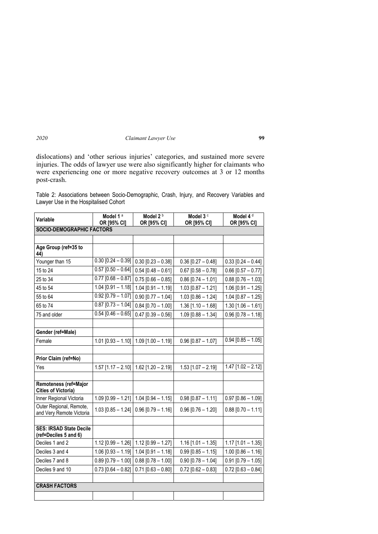dislocations) and 'other serious injuries' categories, and sustained more severe injuries. The odds of lawyer use were also significantly higher for claimants who were experiencing one or more negative recovery outcomes at 3 or 12 months post-crash.

Table 2: Associations between Socio-Demographic, Crash, Injury, and Recovery Variables and Lawyer Use in the Hospitalised Cohort

| Variable                                                | Model 1 <sup>a</sup><br>OR [95% CI] | Model 2 <sup>b</sup><br>OR [95% CI]       | Model 3 <sup>c</sup><br>OR [95% CI] | Model 4 <sup>d</sup><br>OR [95% CI] |
|---------------------------------------------------------|-------------------------------------|-------------------------------------------|-------------------------------------|-------------------------------------|
| <b>SOCIO-DEMOGRAPHIC FACTORS</b>                        |                                     |                                           |                                     |                                     |
|                                                         |                                     |                                           |                                     |                                     |
| Age Group (ref=35 to<br>44)                             |                                     |                                           |                                     |                                     |
| Younger than 15                                         | $0.30$ [0.24 - 0.39]                | $0.30$ [0.23 - 0.38]                      | $0.36$ [0.27 - 0.48]                | $0.33$ [0.24 - 0.44]                |
| 15 to 24                                                | $0.57$ $[0.50 - 0.64]$              | $0.54$ [0.48 - 0.61]                      | $0.67$ [0.58 - 0.78]                | $0.66$ [0.57 - 0.77]                |
| 25 to 34                                                | $0.77$ [0.68 - 0.87]                | $0.75$ [0.66 - 0.85]                      | $0.86$ [0.74 - 1.01]                | $0.88$ [0.76 - 1.03]                |
| 45 to 54                                                | $1.04$ [0.91 - 1.18]                | $1.04$ [0.91 - 1.19]                      | $1.03$ [0.87 - 1.21]                | $1.06$ [0.91 - 1.25]                |
| 55 to 64                                                | $0.92$ [0.79 - 1.07]                | $0.90$ [0.77 - 1.04]                      | $1.03$ [0.86 - 1.24]                | $1.04$ [0.87 - 1.25]                |
| 65 to 74                                                | $0.87$ [0.73 - 1.04]                | $0.84$ [0.70 - 1.00]                      | $1.36$ [1.10 - 1.68]                | $1.30$ [1.06 - 1.61]                |
| 75 and older                                            | $\overline{0.54}$ [0.46 - 0.65]     | $0.47$ [0.39 - 0.56]                      | $1.09$ [0.88 - 1.34]                | $0.96$ [0.78 - 1.18]                |
|                                                         |                                     |                                           |                                     |                                     |
| Gender (ref=Male)                                       |                                     |                                           |                                     |                                     |
| Female                                                  | $1.01$ [0.93 - 1.10]                | $1.09$ [1.00 - 1.19]                      | $0.96$ [0.87 - 1.07]                | $0.94$ [0.85 - 1.05]                |
|                                                         |                                     |                                           |                                     |                                     |
| Prior Claim (ref=No)                                    |                                     |                                           |                                     |                                     |
| Yes                                                     | $1.57$ [1.17 - 2.10]                | $1.62$ [1.20 - 2.19]                      | $1.53$ [1.07 - 2.19]                | $1.47$ [1.02 - 2.12]                |
|                                                         |                                     |                                           |                                     |                                     |
| Remoteness (ref=Major<br><b>Cities of Victoria)</b>     |                                     |                                           |                                     |                                     |
| Inner Regional Victoria                                 |                                     | $1.09$ [0.99 - 1.21]   1.04 [0.94 - 1.15] | $0.98$ [0.87 - 1.11]                | $0.97$ [0.86 - 1.09]                |
| Outer Regional, Remote,<br>and Very Remote Victoria     | $1.03$ [0.85 - 1.24]                | $0.96$ [0.79 - 1.16]                      | $0.96$ [0.76 - 1.20]                | $0.88$ [0.70 - 1.11]                |
|                                                         |                                     |                                           |                                     |                                     |
| <b>SES: IRSAD State Decile</b><br>(ref=Deciles 5 and 6) |                                     |                                           |                                     |                                     |
| Deciles 1 and 2                                         | $1.12$ [0.99 - 1.26]                | $1.12$ [0.99 - 1.27]                      | $1.16$ [1.01 - 1.35]                | $1.17$ [1.01 - 1.35]                |
| Deciles 3 and 4                                         | $1.06$ [0.93 - 1.19]                | $1.04$ [0.91 - 1.18]                      | $0.99$ [0.85 - 1.15]                | $1.00$ [0.86 - 1.16]                |
| Deciles 7 and 8                                         | $0.89$ [0.79 - 1.00]                | $0.88$ [0.78 - 1.00]                      | $0.90$ [0.78 - 1.04]                | $0.91$ [0.79 - 1.05]                |
| Deciles 9 and 10                                        | $0.73$ [0.64 - 0.82]                | $0.71$ [0.63 - 0.80]                      | $0.72$ [0.62 - 0.83]                | $0.72$ [0.63 - 0.84]                |
|                                                         |                                     |                                           |                                     |                                     |
| <b>CRASH FACTORS</b>                                    |                                     |                                           |                                     |                                     |
|                                                         |                                     |                                           |                                     |                                     |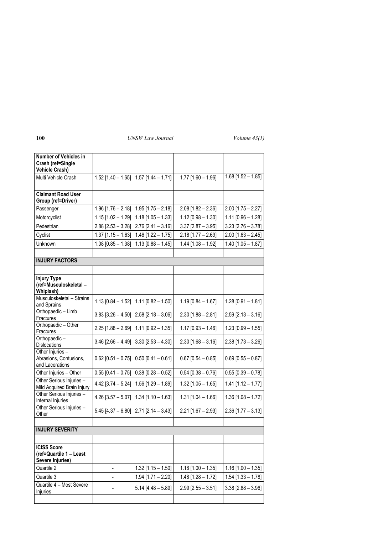| <b>Number of Vehicles in</b><br>Crash (ref=Single<br><b>Vehicle Crash)</b> |                          |                                           |                          |                          |
|----------------------------------------------------------------------------|--------------------------|-------------------------------------------|--------------------------|--------------------------|
| Multi Vehicle Crash                                                        | $1.52$ [1.40 - 1.65]     | $1.57$ [1.44 - 1.71]                      | $1.77$ [1.60 - 1.96]     | $1.68$ [1.52 - 1.85]     |
|                                                                            |                          |                                           |                          |                          |
| <b>Claimant Road User</b><br>Group (ref=Driver)                            |                          |                                           |                          |                          |
| Passenger                                                                  |                          | $1.96$ [1.76 - 2.18]   1.95 [1.75 - 2.18] | $2.08$ [1.82 - 2.36]     | $2.00$ [1.75 - 2.27]     |
| Motorcyclist                                                               | $1.15$ [1.02 - 1.29]     | $1.18$ [1.05 - 1.33]                      | $1.12$ [0.98 - 1.30]     | $1.11$ [0.96 - 1.28]     |
| Pedestrian                                                                 | $2.88$ [2.53 - 3.28]     | $2.76$ [ $2.41 - 3.16$ ]                  | $3.37$ [2.87 - 3.95]     | $3.23$ [2.76 - 3.78]     |
| Cyclist                                                                    | $1.37$ [1.15 - 1.63]     | $1.46$ [1.22 - 1.75]                      | $2.18$ [1.77 - 2.69]     | $2.00$ [1.63 - 2.45]     |
| Unknown                                                                    | $1.08$ [0.85 - 1.38]     | $1.13$ [0.88 - 1.45]                      | $1.44$ [1.08 - 1.92]     | $1.40$ [1.05 - 1.87]     |
|                                                                            |                          |                                           |                          |                          |
| <b>INJURY FACTORS</b>                                                      |                          |                                           |                          |                          |
|                                                                            |                          |                                           |                          |                          |
| <b>Injury Type</b><br>(ref=Musculoskeletal -<br>Whiplash)                  |                          |                                           |                          |                          |
| Musculoskeletal - Strains<br>and Sprains                                   |                          | 1.13 $[0.84 - 1.52]$ 1.11 $[0.82 - 1.50]$ | $1.19$ [0.84 - 1.67]     | $1.28$ [0.91 - 1.81]     |
| Orthopaedic - Limb<br>Fractures                                            |                          | $3.83$ [3.26 - 4.50] 2.58 [2.18 - 3.06]   | $2.30$ [1.88 - 2.81]     | $2.59$ [ $2.13 - 3.16$ ] |
| Orthopaedic - Other<br>Fractures                                           | $2.25$ [1.88 - 2.69]     | $1.11$ [0.92 - 1.35]                      | $1.17$ [0.93 - 1.46]     | $1.23$ [0.99 - 1.55]     |
| Orthopaedic-<br>Dislocations                                               | $3.46$ [2.66 - 4.49]     | $3.30$ [2.53 - 4.30]                      | $2.30$ [1.68 - 3.16]     | $2.38$ [1.73 - 3.26]     |
| Other Injuries -<br>Abrasions, Contusions,<br>and Lacerations              | $0.62$ [0.51 - 0.75]     | $0.50$ [0.41 - 0.61]                      | $0.67$ [0.54 - 0.85]     | $0.69$ [0.55 - 0.87]     |
| Other Injuries - Other                                                     | $0.55$ [0.41 - 0.75]     | $0.38$ [0.28 - 0.52]                      | $0.54$ [0.38 - 0.76]     | $0.55$ [0.39 - 0.78]     |
| Other Serious Injuries -<br>Mild Acquired Brain Injury                     | $4.42$ [3.74 - 5.24]     | $1.56$ [1.29 - 1.89]                      | $1.32$ [1.05 - 1.65]     | $1.41$ [1.12 - 1.77]     |
| Other Serious Injuries -<br>Internal Injuries                              | $4.26$ [3.57 - 5.07]     | $1.34$ [1.10 - 1.63]                      | $1.31$ [1.04 - 1.66]     | $1.36$ [1.08 - 1.72]     |
| Other Serious Injuries -<br>Other                                          | $5.45$ [4.37 - 6.80]     | $2.71$ [2.14 - 3.43]                      | $2.21$ [1.67 - 2.93]     | $2.36$ [1.77 - 3.13]     |
|                                                                            |                          |                                           |                          |                          |
| <b>INJURY SEVERITY</b>                                                     |                          |                                           |                          |                          |
| <b>ICISS Score</b>                                                         |                          |                                           |                          |                          |
| (ref=Quartile 1 - Least<br>Severe Injuries)                                |                          |                                           |                          |                          |
| Quartile 2                                                                 | $\overline{\phantom{m}}$ | $1.32$ [1.15 - 1.50]                      | $1.16$ [1.00 - 1.35]     | $1.16$ [1.00 - 1.35]     |
| Quartile 3                                                                 |                          | $1.94$ [1.71 - 2.20]                      | $1.48$ [1.28 - 1.72]     | $1.54$ [1.33 - 1.78]     |
| Quartile 4 - Most Severe<br>Injuries                                       |                          | $5.14$ [4.48 - 5.89]                      | $2.99$ [ $2.55 - 3.51$ ] | $3.38$ [ $2.88 - 3.96$ ] |
|                                                                            |                          |                                           |                          |                          |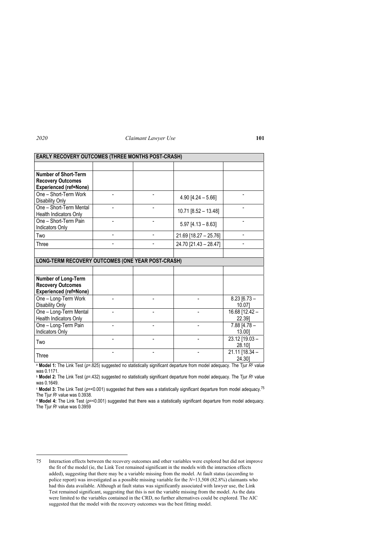| EARLY RECOVERY OUTCOMES (THREE MONTHS POST-CRASH) |  |  |                        |                            |  |  |
|---------------------------------------------------|--|--|------------------------|----------------------------|--|--|
|                                                   |  |  |                        |                            |  |  |
| <b>Number of Short-Term</b>                       |  |  |                        |                            |  |  |
| <b>Recovery Outcomes</b>                          |  |  |                        |                            |  |  |
| Experienced (ref=None)                            |  |  |                        |                            |  |  |
| One - Short-Term Work<br>Disability Only          |  |  | $4.90$ [4.24 - 5.66]   |                            |  |  |
| One - Short-Term Mental<br>Health Indicators Only |  |  | $10.71$ [8.52 - 13.48] |                            |  |  |
| One - Short-Term Pain<br><b>Indicators Only</b>   |  |  | $5.97$ [4.13 - 8.63]   |                            |  |  |
| Two                                               |  |  | 21.69 [18.27 - 25.76]  |                            |  |  |
| Three                                             |  |  | 24.70 [21.43 - 28.47]  |                            |  |  |
|                                                   |  |  |                        |                            |  |  |
| LONG-TERM RECOVERY OUTCOMES (ONE YEAR POST-CRASH) |  |  |                        |                            |  |  |
|                                                   |  |  |                        |                            |  |  |
| Number of Long-Term                               |  |  |                        |                            |  |  |
| <b>Recovery Outcomes</b>                          |  |  |                        |                            |  |  |
| <b>Experienced (ref=None)</b>                     |  |  |                        |                            |  |  |
| One - Long-Term Work                              |  |  |                        | $8.23$ [6.73 -             |  |  |
| Disability Only                                   |  |  |                        | 10.071                     |  |  |
| One - Long-Term Mental                            |  |  |                        | 16.68 [12.42 -             |  |  |
| Health Indicators Only                            |  |  |                        | 22.391                     |  |  |
| One - Long-Term Pain                              |  |  |                        | $7.88$ [4.78 -             |  |  |
| Indicators Only                                   |  |  |                        | 13.00]                     |  |  |
| Two                                               |  |  |                        | 23.12 [19.03 -<br>28.101   |  |  |
| Three                                             |  |  |                        | $21.11$ [18.34 -<br>24.30] |  |  |

<sup>a</sup> Model 1: The Link Test (*p*=.825) suggested no statistically significant departure from model adequacy. The Tjur *R*<sup>2</sup> value was 0.1171.

<sup>b</sup> **Model 2:** The Link Test (*p*=.432) suggested no statistically significant departure from model adequacy. The Tjur *R*2 value was 0.1649.

<sup>c</sup> Model 3: The Link Test (*p*=<0.001) suggested that there was a statistically significant departure from model adequacy.<sup>75</sup><br>The Tjur R<sup>2</sup> value was 0.3938.

The Tjur *R*2 value was 0.3938. d **Model 4:** The Link Test (*p*=<0.001) suggested that there was a statistically significant departure from model adequacy. The Tjur *R*2 value was 0.3959

<sup>75</sup> Interaction effects between the recovery outcomes and other variables were explored but did not improve the fit of the model (ie, the Link Test remained significant in the models with the interaction effects added), suggesting that there may be a variable missing from the model. At fault status (according to police report) was investigated as a possible missing variable for the *N*=13,508 (82.8%) claimants who had this data available. Although at fault status was significantly associated with lawyer use, the Link Test remained significant, suggesting that this is not the variable missing from the model. As the data were limited to the variables contained in the CRD, no further alternatives could be explored. The AIC suggested that the model with the recovery outcomes was the best fitting model.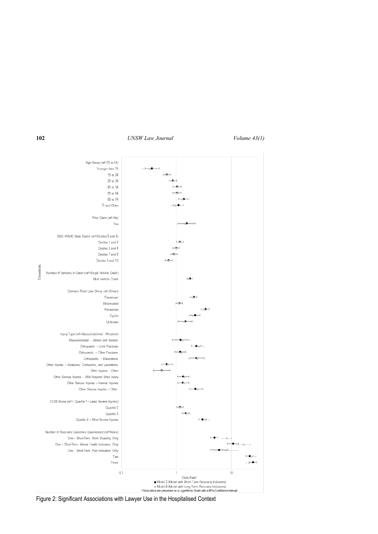

Figure 2: Significant Associations with Lawyer Use in the Hospitalised Context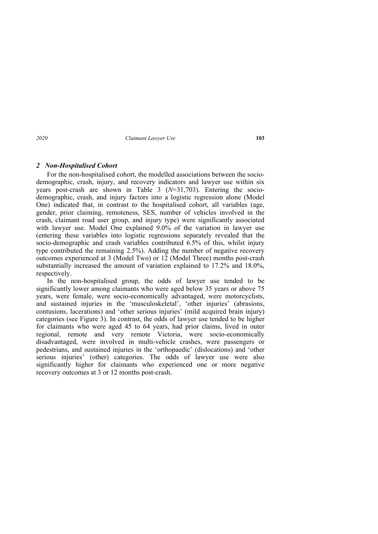### *2 Non-Hospitalised Cohort*

For the non-hospitalised cohort, the modelled associations between the sociodemographic, crash, injury, and recovery indicators and lawyer use within six years post-crash are shown in Table 3 (*N*=31,703). Entering the sociodemographic, crash, and injury factors into a logistic regression alone (Model One) indicated that, in contrast to the hospitalised cohort, all variables (age, gender, prior claiming, remoteness, SES, number of vehicles involved in the crash, claimant road user group, and injury type) were significantly associated with lawyer use. Model One explained 9.0% of the variation in lawyer use (entering these variables into logistic regressions separately revealed that the socio-demographic and crash variables contributed 6.5% of this, whilst injury type contributed the remaining 2.5%). Adding the number of negative recovery outcomes experienced at 3 (Model Two) or 12 (Model Three) months post-crash substantially increased the amount of variation explained to 17.2% and 18.0%, respectively.

In the non-hospitalised group, the odds of lawyer use tended to be significantly lower among claimants who were aged below 35 years or above 75 years, were female, were socio-economically advantaged, were motorcyclists, and sustained injuries in the 'musculoskeletal', 'other injuries' (abrasions, contusions, lacerations) and 'other serious injuries' (mild acquired brain injury) categories (see Figure 3). In contrast, the odds of lawyer use tended to be higher for claimants who were aged 45 to 64 years, had prior claims, lived in outer regional, remote and very remote Victoria, were socio-economically disadvantaged, were involved in multi-vehicle crashes, were passengers or pedestrians, and sustained injuries in the 'orthopaedic' (dislocations) and 'other serious injuries' (other) categories. The odds of lawyer use were also significantly higher for claimants who experienced one or more negative recovery outcomes at 3 or 12 months post-crash.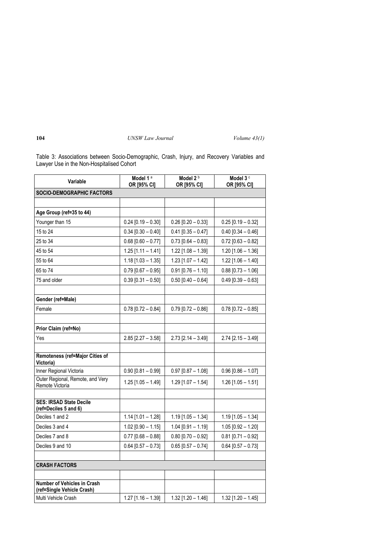Table 3: Associations between Socio-Demographic, Crash, Injury, and Recovery Variables and Lawyer Use in the Non-Hospitalised Cohort

| Variable                                                         | Model 1 <sup>a</sup><br>OR [95% CI] | Model 2 <sup>b</sup><br>OR [95% CI] | Model 3 <sup>c</sup><br>OR [95% CI] |
|------------------------------------------------------------------|-------------------------------------|-------------------------------------|-------------------------------------|
| <b>SOCIO-DEMOGRAPHIC FACTORS</b>                                 |                                     |                                     |                                     |
|                                                                  |                                     |                                     |                                     |
| Age Group (ref=35 to 44)                                         |                                     |                                     |                                     |
| Younger than 15                                                  | $0.24$ [0.19 - 0.30]                | $0.26$ [0.20 - 0.33]                | $0.25$ [0.19 - 0.32]                |
| 15 to 24                                                         | $0.34$ [0.30 - 0.40]                | $0.41$ [0.35 - 0.47]                | $0.40$ [0.34 - 0.46]                |
| 25 to 34                                                         | $0.68$ [0.60 - 0.77]                | $0.73$ [0.64 $-$ 0.83]              | $0.72$ [0.63 – 0.82]                |
| 45 to 54                                                         | $1.25$ [1.11 - 1.41]                | $1.22$ [1.08 - 1.39]                | $1.20$ [1.06 - 1.36]                |
| 55 to 64                                                         | $1.18$ [1.03 - 1.35]                | $1.23$ [1.07 - 1.42]                | $1.22$ [1.06 - 1.40]                |
| 65 to 74                                                         | $0.79$ [0.67 - 0.95]                | $0.91$ [0.76 - 1.10]                | $0.88$ [0.73 - 1.06]                |
| 75 and older                                                     | $0.39$ [0.31 - 0.50]                | $0.50$ [0.40 - 0.64]                | $0.49$ [0.39 - 0.63]                |
|                                                                  |                                     |                                     |                                     |
| Gender (ref=Male)                                                |                                     |                                     |                                     |
| Female                                                           | $0.78$ [0.72 - 0.84]                | $0.79$ [0.72 - 0.86]                | $0.78$ [0.72 - 0.85]                |
|                                                                  |                                     |                                     |                                     |
| Prior Claim (ref=No)                                             |                                     |                                     |                                     |
| Yes                                                              | $2.85$ [2.27 - 3.58]                | $2.73$ [2.14 - 3.49]                | $2.74$ [2.15 - 3.49]                |
|                                                                  |                                     |                                     |                                     |
| Remoteness (ref=Major Cities of<br>Victoria)                     |                                     |                                     |                                     |
| Inner Regional Victoria                                          | $0.90$ [0.81 - 0.99]                | $0.97$ [0.87 - 1.08]                | $0.96$ [0.86 - 1.07]                |
| Outer Regional, Remote, and Very<br>Remote Victoria              | $1.25$ [1.05 - 1.49]                | $1.29$ [1.07 - 1.54]                | $1.26$ [1.05 - 1.51]                |
|                                                                  |                                     |                                     |                                     |
| <b>SES: IRSAD State Decile</b><br>(ref=Deciles 5 and 6)          |                                     |                                     |                                     |
| Deciles 1 and 2                                                  | $1.14$ [1.01 - 1.28]                | $1.19$ [1.05 - 1.34]                | $1.19$ [1.05 - 1.34]                |
| Deciles 3 and 4                                                  | $1.02$ [0.90 - 1.15]                | $1.04$ [0.91 - 1.19]                | $1.05$ [0.92 - 1.20]                |
| Deciles 7 and 8                                                  | $0.77$ [0.68 - 0.88]                | $0.80$ [0.70 - 0.92]                | $0.81$ [0.71 - 0.92]                |
| Deciles 9 and 10                                                 | $0.64$ [0.57 - 0.73]                | $0.65$ [0.57 - 0.74]                | $0.64$ [0.57 - 0.73]                |
|                                                                  |                                     |                                     |                                     |
| <b>CRASH FACTORS</b>                                             |                                     |                                     |                                     |
|                                                                  |                                     |                                     |                                     |
| <b>Number of Vehicles in Crash</b><br>(ref=Single Vehicle Crash) |                                     |                                     |                                     |
| Multi Vehicle Crash                                              | $1.27$ [1.16 - 1.39]                | $1.32$ [1.20 - 1.46]                | $1.32$ [1.20 - 1.45]                |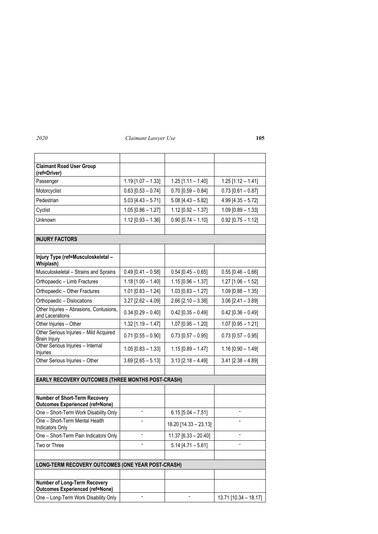| <b>Claimant Road User Group</b><br>(ref=Driver)                                |                      |                          |                         |
|--------------------------------------------------------------------------------|----------------------|--------------------------|-------------------------|
| Passenger                                                                      | $1.19$ [1.07 - 1.33] | $1.25$ [1.11 - 1.40]     | $1.25$ [1.12 - 1.41]    |
| Motorcyclist                                                                   | $0.63$ [0.53 - 0.74] | $0.70$ [0.59 - 0.84]     | $0.73$ [0.61 - 0.87]    |
| Pedestrian                                                                     | $5.03$ [4.43 - 5.71] | $5.08$ [4.43 - 5.82]     | $4.99$ [4.35 - 5.72]    |
| Cyclist                                                                        | $1.05$ [0.86 - 1.27] | $1.12$ [0.92 - 1.37]     | $1.09$ [0.89 - 1.33]    |
| Unknown                                                                        | $1.12$ [0.93 - 1.36] | $0.90$ [0.74 - 1.10]     | $0.92$ [0.75 - 1.12]    |
|                                                                                |                      |                          |                         |
| <b>INJURY FACTORS</b>                                                          |                      |                          |                         |
|                                                                                |                      |                          |                         |
| Injury Type (ref=Musculoskeletal -<br>Whiplash)                                |                      |                          |                         |
| Musculoskeletal - Strains and Sprains                                          | $0.49$ [0.41 - 0.58] | $0.54$ [0.45 - 0.65]     | $0.55$ [0.46 - 0.66]    |
| Orthopaedic - Limb Fractures                                                   | $1.18$ [1.00 - 1.40] | $1.15$ [0.96 - 1.37]     | $1.27$ [1.06 - 1.52]    |
| Orthopaedic - Other Fractures                                                  | $1.01$ [0.83 - 1.24] | $1.03$ [0.83 - 1.27]     | $1.09$ [0.88 - 1.35]    |
| Orthopaedic - Dislocations                                                     | $3.27$ [2.62 - 4.09] | $2.66$ [ $2.10 - 3.38$ ] | $3.06$ [2.41 - 3.89]    |
| Other Injuries - Abrasions, Contusions,<br>and Lacerations                     | $0.34$ [0.29 - 0.40] | $0.42$ [0.35 - 0.49]     | $0.42$ [0.36 - 0.49]    |
| Other Injuries - Other                                                         | $1.32$ [1.19 - 1.47] | $1.07$ [0.95 - 1.20]     | $1.07$ [0.95 – 1.21]    |
| Other Serious Injuries - Mild Acquired<br>Brain Injury                         | $0.71$ [0.55 - 0.90] | $0.73$ [0.57 - 0.95]     | $0.73$ [0.57 - 0.95]    |
| Other Serious Injuries - Internal<br>Injuries                                  | $1.05$ [0.83 - 1.33] | $1.15$ [0.89 - 1.47]     | $1.16$ [0.90 - 1.49]    |
| Other Serious Injuries - Other                                                 | $3.69$ [2.65 - 5.13] | $3.13$ [2.18 - 4.49]     | $3.41$ [2.38 - 4.89]    |
|                                                                                |                      |                          |                         |
| EARLY RECOVERY OUTCOMES (THREE MONTHS POST-CRASH)                              |                      |                          |                         |
|                                                                                |                      |                          |                         |
| <b>Number of Short-Term Recovery</b><br><b>Outcomes Experienced (ref=None)</b> |                      |                          |                         |
| One - Short-Term Work Disability Only                                          | $\overline{a}$       | $6.15$ [5.04 - 7.51]     | $\blacksquare$          |
| One - Short-Term Mental Health<br><b>Indicators Only</b>                       |                      | 18.20 [14.33 - 23.13]    |                         |
| One - Short-Term Pain Indicators Only                                          |                      | $11.37$ [6.33 - 20.40]   | $\overline{a}$          |
| Two or Three                                                                   |                      | $5.14$ [4.71 - 5.61]     |                         |
|                                                                                |                      |                          |                         |
| LONG-TERM RECOVERY OUTCOMES (ONE YEAR POST-CRASH)                              |                      |                          |                         |
|                                                                                |                      |                          |                         |
| Number of Long-Term Recovery<br><b>Outcomes Experienced (ref=None)</b>         |                      |                          |                         |
| One - Long-Term Work Disability Only                                           |                      |                          | $13.71$ [10.34 - 18.17] |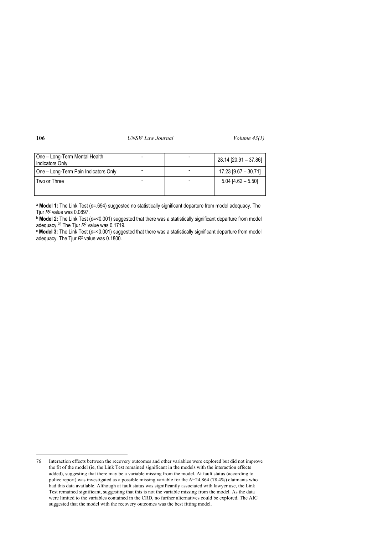| One – Long-Term Mental Health        |  | 28.14 [20.91 - 37.86]  |
|--------------------------------------|--|------------------------|
| Indicators Only                      |  |                        |
| One – Long-Term Pain Indicators Only |  | $17.23$ [9.67 - 30.71] |
| Two or Three                         |  | $5.04$ [4.62 - 5.50]   |
|                                      |  |                        |

<sup>a</sup> **Model 1:** The Link Test (*p*=.694) suggested no statistically significant departure from model adequacy. The

<sup>b</sup> Model 2: The Link Test (*p*=<0.001) suggested that there was a statistically significant departure from model adequacy.<sup>76</sup> The Tiur R<sup>2</sup> value was 0.1719.

<sup>c</sup> Model 3: The Link Test ( $p$ =<0.001) suggested that there was a statistically significant departure from model adequacy. The Tjur *R*2 value was 0.1800.

<sup>76</sup> Interaction effects between the recovery outcomes and other variables were explored but did not improve the fit of the model (ie, the Link Test remained significant in the models with the interaction effects added), suggesting that there may be a variable missing from the model. At fault status (according to police report) was investigated as a possible missing variable for the *N*=24,864 (78.4%) claimants who had this data available. Although at fault status was significantly associated with lawyer use, the Link Test remained significant, suggesting that this is not the variable missing from the model. As the data were limited to the variables contained in the CRD, no further alternatives could be explored. The AIC suggested that the model with the recovery outcomes was the best fitting model.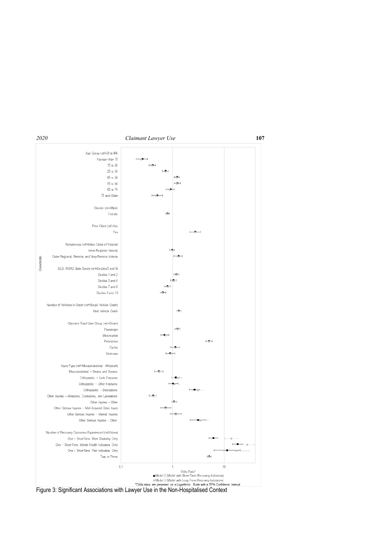Characteristic



 $\rightarrow$ 

 $10$ 

 $\sim$ 

 $\bullet$ 

 $\overline{a}$ 

 $\mapsto \bullet$ 

 $-$ 

 $\overline{\phantom{a}}$ 

 $\leftarrow$ 



Age Group (ref=35 to 44) Younger than 15

15 to 24

25 to 34

45 to 54

55 to 64

65 to 74 75 and Older

Female

Gender (ref=Male)

Prior Claim (ref=No) Yes

Inner Regional Victoria

Deciles 1 and 2 Deciles 3 and 4 Deciles 7 and 8 Deciles 9 and 10

Multi Vehicle Crash

Remoteness (ref=Major Cities of Victoria)

Outer Regional, Remote, and Very Remote Victoria

Number of Vehicles in Crash (ref=Single Vehicle Crash)

SES: IRSAD State Decile (ref=Deciles 5 and 6)

Injury Type (ref=Musculoskeletal - Whiplash) Musculoskeletal - Strains and Sprains Orthopaedic - Limb Fractures Orthopaedic - Other Fractures Orthonaedic - Dislocations Other Injuries - Abrasions, Contusions, and Lacerations Other Injuries - Other Other Serious Injuries - Mild Acquired Brain Injury Other Serious Injuries - Internal Injuries Other Serious Injuries - Other

Number of Recovery Outcomes Experienced (ref=None) One - Short-Term Work Disability Only One - Short-Term Mental Health Indicators Only One - Short-Term Pain Indicators Only Two or Three



Figure 3: Significant Associations with Lawyer Use in the Non-Hospitalised Context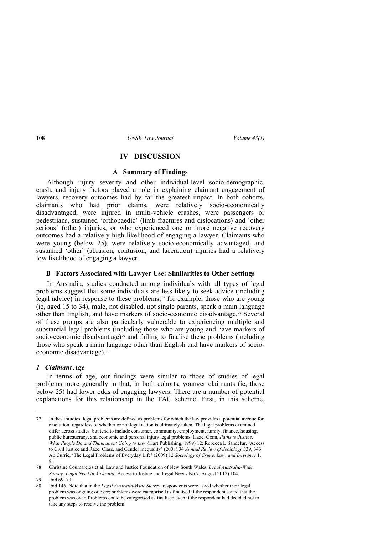## **IV DISCUSSION**

### **A Summary of Findings**

Although injury severity and other individual-level socio-demographic, crash, and injury factors played a role in explaining claimant engagement of lawyers, recovery outcomes had by far the greatest impact. In both cohorts, claimants who had prior claims, were relatively socio-economically disadvantaged, were injured in multi-vehicle crashes, were passengers or pedestrians, sustained 'orthopaedic' (limb fractures and dislocations) and 'other serious' (other) injuries, or who experienced one or more negative recovery outcomes had a relatively high likelihood of engaging a lawyer. Claimants who were young (below 25), were relatively socio-economically advantaged, and sustained 'other' (abrasion, contusion, and laceration) injuries had a relatively low likelihood of engaging a lawyer.

### **B Factors Associated with Lawyer Use: Similarities to Other Settings**

In Australia, studies conducted among individuals with all types of legal problems suggest that some individuals are less likely to seek advice (including legal advice) in response to these problems; $\frac{7}{7}$  for example, those who are young (ie, aged 15 to 34), male, not disabled, not single parents, speak a main language other than English, and have markers of socio-economic disadvantage.78 Several of these groups are also particularly vulnerable to experiencing multiple and substantial legal problems (including those who are young and have markers of socio-economic disadvantage)<sup>79</sup> and failing to finalise these problems (including those who speak a main language other than English and have markers of socioeconomic disadvantage).<sup>80</sup>

## *1 Claimant Age*

In terms of age, our findings were similar to those of studies of legal problems more generally in that, in both cohorts, younger claimants (ie, those below 25) had lower odds of engaging lawyers. There are a number of potential explanations for this relationship in the TAC scheme. First, in this scheme,

<sup>77</sup> In these studies, legal problems are defined as problems for which the law provides a potential avenue for resolution, regardless of whether or not legal action is ultimately taken. The legal problems examined differ across studies, but tend to include consumer, community, employment, family, finance, housing, public bureaucracy, and economic and personal injury legal problems: Hazel Genn, *Paths to Justice: What People Do and Think about Going to Law* (Hart Publishing, 1999) 12; Rebecca L Sandefur, 'Access to Civil Justice and Race, Class, and Gender Inequality' (2008) 34 *Annual Review of Sociology* 339, 343; Ab Currie, 'The Legal Problems of Everyday Life' (2009) 12 *Sociology of Crime, Law, and Deviance* 1, 8.

<sup>78</sup> Christine Coumarelos et al, Law and Justice Foundation of New South Wales, *Legal Australia-Wide Survey: Legal Need in Australia* (Access to Justice and Legal Needs No 7, August 2012) 104.

<sup>79</sup> Ibid 69–70.

<sup>80</sup> Ibid 146. Note that in the *Legal Australia-Wide Survey*, respondents were asked whether their legal problem was ongoing or over; problems were categorised as finalised if the respondent stated that the problem was over. Problems could be categorised as finalised even if the respondent had decided not to take any steps to resolve the problem.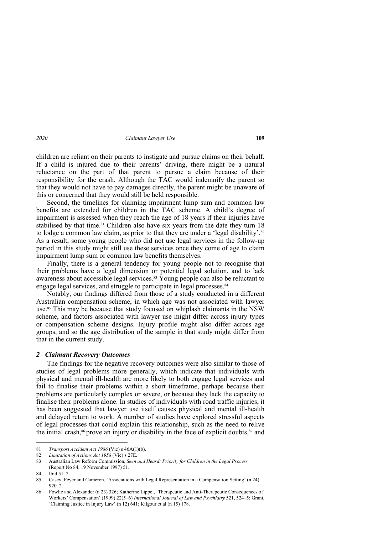children are reliant on their parents to instigate and pursue claims on their behalf. If a child is injured due to their parents' driving, there might be a natural reluctance on the part of that parent to pursue a claim because of their responsibility for the crash. Although the TAC would indemnify the parent so that they would not have to pay damages directly, the parent might be unaware of this or concerned that they would still be held responsible.

Second, the timelines for claiming impairment lump sum and common law benefits are extended for children in the TAC scheme. A child's degree of impairment is assessed when they reach the age of 18 years if their injuries have stabilised by that time.<sup>81</sup> Children also have six years from the date they turn  $18$ to lodge a common law claim, as prior to that they are under a 'legal disability'.<sup>82</sup> As a result, some young people who did not use legal services in the follow-up period in this study might still use these services once they come of age to claim impairment lump sum or common law benefits themselves.

Finally, there is a general tendency for young people not to recognise that their problems have a legal dimension or potential legal solution, and to lack awareness about accessible legal services.<sup>83</sup> Young people can also be reluctant to engage legal services, and struggle to participate in legal processes.<sup>84</sup>

Notably, our findings differed from those of a study conducted in a different Australian compensation scheme, in which age was not associated with lawyer use.85 This may be because that study focused on whiplash claimants in the NSW scheme, and factors associated with lawyer use might differ across injury types or compensation scheme designs. Injury profile might also differ across age groups, and so the age distribution of the sample in that study might differ from that in the current study.

## *2 Claimant Recovery Outcomes*

The findings for the negative recovery outcomes were also similar to those of studies of legal problems more generally, which indicate that individuals with physical and mental ill-health are more likely to both engage legal services and fail to finalise their problems within a short timeframe, perhaps because their problems are particularly complex or severe, or because they lack the capacity to finalise their problems alone. In studies of individuals with road traffic injuries, it has been suggested that lawyer use itself causes physical and mental ill-health and delayed return to work. A number of studies have explored stressful aspects of legal processes that could explain this relationship, such as the need to relive the initial crash,<sup>86</sup> prove an injury or disability in the face of explicit doubts, $87$  and

<sup>81</sup> *Transport Accident Act 1986* (Vic) s 46A(1)(b).

<sup>82</sup> *Limitation of Actions Act 1958* (Vic) s 27E.

<sup>83</sup> Australian Law Reform Commission, *Seen and Heard: Priority for Children in the Legal Process* (Report No 84, 19 November 1997) 51.

<sup>84</sup> Ibid 51–2.

<sup>85</sup> Casey, Feyer and Cameron, 'Associations with Legal Representation in a Compensation Setting' (n 24) 920–2.

<sup>86</sup> Fowlie and Alexander (n 23) 326; Katherine Lippel, 'Therapeutic and Anti-Therapeutic Consequences of Workers' Compensation' (1999) 22(5–6) *International Journal of Law and Psychiatry* 521, 524–5; Grant, 'Claiming Justice in Injury Law' (n 12) 641; Kilgour et al (n 15) 178.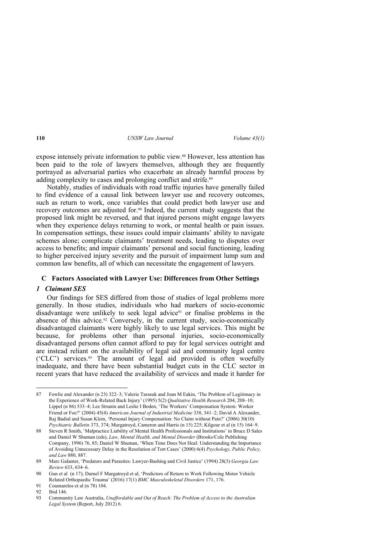expose intensely private information to public view.88 However, less attention has been paid to the role of lawyers themselves, although they are frequently portrayed as adversarial parties who exacerbate an already harmful process by adding complexity to cases and prolonging conflict and strife.<sup>89</sup>

Notably, studies of individuals with road traffic injuries have generally failed to find evidence of a causal link between lawyer use and recovery outcomes, such as return to work, once variables that could predict both lawyer use and recovery outcomes are adjusted for.90 Indeed, the current study suggests that the proposed link might be reversed, and that injured persons might engage lawyers when they experience delays returning to work, or mental health or pain issues. In compensation settings, these issues could impair claimants' ability to navigate schemes alone; complicate claimants' treatment needs, leading to disputes over access to benefits; and impair claimants' personal and social functioning, leading to higher perceived injury severity and the pursuit of impairment lump sum and common law benefits, all of which can necessitate the engagement of lawyers.

## **C Factors Associated with Lawyer Use: Differences from Other Settings**

### *1 Claimant SES*

Our findings for SES differed from those of studies of legal problems more generally. In those studies, individuals who had markers of socio-economic disadvantage were unlikely to seek legal advice<sup>91</sup> or finalise problems in the absence of this advice.<sup>92</sup> Conversely, in the current study, socio-economically disadvantaged claimants were highly likely to use legal services. This might be because, for problems other than personal injuries, socio-economically disadvantaged persons often cannot afford to pay for legal services outright and are instead reliant on the availability of legal aid and community legal centre ('CLC') services.93 The amount of legal aid provided is often woefully inadequate, and there have been substantial budget cuts in the CLC sector in recent years that have reduced the availability of services and made it harder for

<sup>87</sup> Fowlie and Alexander (n 23) 322–3; Valerie Tarasuk and Joan M Eakin, 'The Problem of Legitimacy in the Experience of Work-Related Back Injury' (1995) 5(2) *Qualitative Health Research* 204, 208–10; Lippel (n 86) 533–4; Lee Strunin and Leslie I Boden, 'The Workers' Compensation System: Worker Friend or Foe?' (2004) 45(4) *American Journal of Industrial Medicine* 338, 341–2; David A Alexander, Raj Badial and Susan Klein, 'Personal Injury Compensation: No Claim without Pain?' (2006) 30(10) *Psychiatric Bulletin* 373, 374; Murgatroyd, Cameron and Harris (n 15) 225; Kilgour et al (n 15) 164–9.

<sup>88</sup> Steven R Smith, 'Malpractice Liability of Mental Health Professionals and Institutions' in Bruce D Sales and Daniel W Shuman (eds), *Law, Mental Health, and Mental Disorder* (Brooks/Cole Publishing Company, 1996) 76, 85; Daniel W Shuman, 'When Time Does Not Heal: Understanding the Importance of Avoiding Unnecessary Delay in the Resolution of Tort Cases' (2000) 6(4) *Psychology, Public Policy, and Law* 880, 887.

<sup>89</sup> Marc Galanter, 'Predators and Parasites: Lawyer-Bashing and Civil Justice' (1994) 28(3) *Georgia Law Review* 633, 634–6.

<sup>90</sup> Gun et al (n 17); Darnel F Murgatroyd et al, 'Predictors of Return to Work Following Motor Vehicle Related Orthopaedic Trauma' (2016) 17(1) *BMC Musculoskeletal Disorders* 171, 176.

<sup>91</sup> Coumarelos et al (n 78) 104.

<sup>92</sup> Ibid 146.

<sup>93</sup> Community Law Australia, *Unaffordable and Out of Reach: The Problem of Access to the Australian Legal System* (Report, July 2012) 6.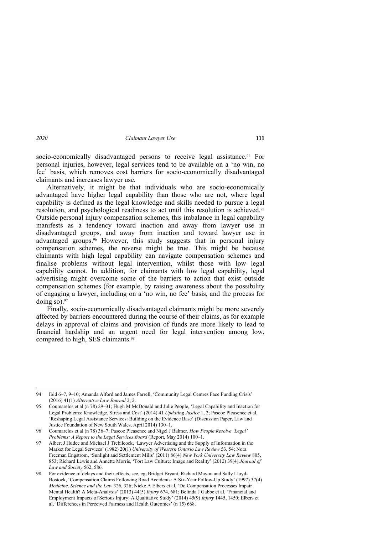socio-economically disadvantaged persons to receive legal assistance.<sup>94</sup> For personal injuries, however, legal services tend to be available on a 'no win, no fee' basis, which removes cost barriers for socio-economically disadvantaged claimants and increases lawyer use.

Alternatively, it might be that individuals who are socio-economically advantaged have higher legal capability than those who are not, where legal capability is defined as the legal knowledge and skills needed to pursue a legal resolution, and psychological readiness to act until this resolution is achieved.95 Outside personal injury compensation schemes, this imbalance in legal capability manifests as a tendency toward inaction and away from lawyer use in disadvantaged groups, and away from inaction and toward lawyer use in advantaged groups.<sup>96</sup> However, this study suggests that in personal injury compensation schemes, the reverse might be true. This might be because claimants with high legal capability can navigate compensation schemes and finalise problems without legal intervention, whilst those with low legal capability cannot. In addition, for claimants with low legal capability, legal advertising might overcome some of the barriers to action that exist outside compensation schemes (for example, by raising awareness about the possibility of engaging a lawyer, including on a 'no win, no fee' basis, and the process for doing so). $97$ 

Finally, socio-economically disadvantaged claimants might be more severely affected by barriers encountered during the course of their claims, as for example delays in approval of claims and provision of funds are more likely to lead to financial hardship and an urgent need for legal intervention among low, compared to high, SES claimants.98

<sup>94</sup> Ibid 6–7, 9–10; Amanda Alford and James Farrell, 'Community Legal Centres Face Funding Crisis' (2016) 41(1) *Alternative Law Journal* 2, 2.

<sup>95</sup> Coumarelos et al (n 78) 29–31; Hugh M McDonald and Julie People, 'Legal Capability and Inaction for Legal Problems: Knowledge, Stress and Cost' (2014) 41 *Updating Justice* 1, 2; Pascoe Pleasence et al, 'Reshaping Legal Assistance Services: Building on the Evidence Base' (Discussion Paper, Law and Justice Foundation of New South Wales, April 2014) 130–1.

<sup>96</sup> Coumarelos et al (n 78) 36–7; Pascoe Pleasence and Nigel J Balmer, *How People Resolve 'Legal' Problems: A Report to the Legal Services Board* (Report, May 2014) 100–1.

<sup>97</sup> Albert J Hudec and Michael J Trebilcock, 'Lawyer Advertising and the Supply of Information in the Market for Legal Services' (1982) 20(1) *University of Western Ontario Law Review* 53, 54; Nora Freeman Engstrom, 'Sunlight and Settlement Mills' (2011) 86(4) *New York University Law Review* 805, 853; Richard Lewis and Annette Morris, 'Tort Law Culture: Image and Reality' (2012) 39(4) *Journal of Law and Society* 562, 586.

<sup>98</sup> For evidence of delays and their effects, see, eg, Bridget Bryant, Richard Mayou and Sally Lloyd-Bostock, 'Compensation Claims Following Road Accidents: A Six-Year Follow-Up Study' (1997) 37(4) *Medicine, Science and the Law* 326, 326; Nieke A Elbers et al, 'Do Compensation Processes Impair Mental Health? A Meta-Analysis' (2013) 44(5) *Injury* 674, 681; Belinda J Gabbe et al, 'Financial and Employment Impacts of Serious Injury: A Qualitative Study' (2014) 45(9) *Injury* 1445, 1450; Elbers et al, 'Differences in Perceived Fairness and Health Outcomes' (n 15) 668.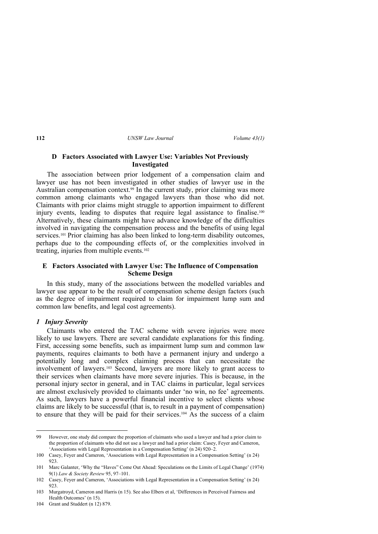### **D Factors Associated with Lawyer Use: Variables Not Previously Investigated**

The association between prior lodgement of a compensation claim and lawyer use has not been investigated in other studies of lawyer use in the Australian compensation context.<sup>99</sup> In the current study, prior claiming was more common among claimants who engaged lawyers than those who did not. Claimants with prior claims might struggle to apportion impairment to different injury events, leading to disputes that require legal assistance to finalise.<sup>100</sup> Alternatively, these claimants might have advance knowledge of the difficulties involved in navigating the compensation process and the benefits of using legal services.101 Prior claiming has also been linked to long-term disability outcomes, perhaps due to the compounding effects of, or the complexities involved in treating, injuries from multiple events.102

## **E Factors Associated with Lawyer Use: The Influence of Compensation Scheme Design**

In this study, many of the associations between the modelled variables and lawyer use appear to be the result of compensation scheme design factors (such as the degree of impairment required to claim for impairment lump sum and common law benefits, and legal cost agreements).

### *1 Injury Severity*

Claimants who entered the TAC scheme with severe injuries were more likely to use lawyers. There are several candidate explanations for this finding. First, accessing some benefits, such as impairment lump sum and common law payments, requires claimants to both have a permanent injury and undergo a potentially long and complex claiming process that can necessitate the involvement of lawyers.103 Second, lawyers are more likely to grant access to their services when claimants have more severe injuries. This is because, in the personal injury sector in general, and in TAC claims in particular, legal services are almost exclusively provided to claimants under 'no win, no fee' agreements. As such, lawyers have a powerful financial incentive to select clients whose claims are likely to be successful (that is, to result in a payment of compensation) to ensure that they will be paid for their services.<sup>104</sup> As the success of a claim

<sup>99</sup> However, one study did compare the proportion of claimants who used a lawyer and had a prior claim to the proportion of claimants who did not use a lawyer and had a prior claim: Casey, Feyer and Cameron, 'Associations with Legal Representation in a Compensation Setting' (n 24) 920–2.

<sup>100</sup> Casey, Feyer and Cameron, 'Associations with Legal Representation in a Compensation Setting' (n 24) 923.

<sup>101</sup> Marc Galanter, 'Why the "Haves" Come Out Ahead: Speculations on the Limits of Legal Change' (1974) 9(1) *Law & Society Review* 95, 97–101.

<sup>102</sup> Casey, Feyer and Cameron, 'Associations with Legal Representation in a Compensation Setting' (n 24) 923.

<sup>103</sup> Murgatroyd, Cameron and Harris (n 15). See also Elbers et al, 'Differences in Perceived Fairness and Health Outcomes' (n 15).

<sup>104</sup> Grant and Studdert (n 12) 879.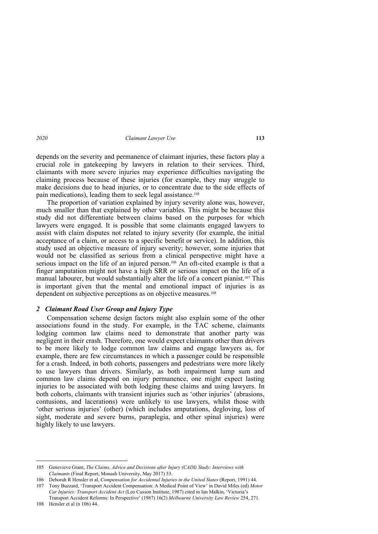depends on the severity and permanence of claimant injuries, these factors play a crucial role in gatekeeping by lawyers in relation to their services. Third, claimants with more severe injuries may experience difficulties navigating the claiming process because of these injuries (for example, they may struggle to make decisions due to head injuries, or to concentrate due to the side effects of pain medications), leading them to seek legal assistance.105

The proportion of variation explained by injury severity alone was, however, much smaller than that explained by other variables. This might be because this study did not differentiate between claims based on the purposes for which lawyers were engaged. It is possible that some claimants engaged lawyers to assist with claim disputes not related to injury severity (for example, the initial acceptance of a claim, or access to a specific benefit or service). In addition, this study used an objective measure of injury severity; however, some injuries that would not be classified as serious from a clinical perspective might have a serious impact on the life of an injured person.106 An oft-cited example is that a finger amputation might not have a high SRR or serious impact on the life of a manual labourer, but would substantially alter the life of a concert pianist.<sup>107</sup> This is important given that the mental and emotional impact of injuries is as dependent on subjective perceptions as on objective measures.<sup>108</sup>

## *2 Claimant Road User Group and Injury Type*

Compensation scheme design factors might also explain some of the other associations found in the study. For example, in the TAC scheme, claimants lodging common law claims need to demonstrate that another party was negligent in their crash. Therefore, one would expect claimants other than drivers to be more likely to lodge common law claims and engage lawyers as, for example, there are few circumstances in which a passenger could be responsible for a crash. Indeed, in both cohorts, passengers and pedestrians were more likely to use lawyers than drivers. Similarly, as both impairment lump sum and common law claims depend on injury permanence, one might expect lasting injuries to be associated with both lodging these claims and using lawyers. In both cohorts, claimants with transient injuries such as 'other injuries' (abrasions, contusions, and lacerations) were unlikely to use lawyers, whilst those with 'other serious injuries' (other) (which includes amputations, degloving, loss of sight, moderate and severe burns, paraplegia, and other spinal injuries) were highly likely to use lawyers.

<sup>105</sup> Genevieve Grant, *The Claims, Advice and Decisions after Injury (CADI) Study: Interviews with Claimants* (Final Report, Monash University, May 2017) 53.

<sup>106</sup> Deborah R Hensler et al, *Compensation for Accidental Injuries in the United States* (Report, 1991) 44.

<sup>107</sup> Tony Buzzard, 'Transport Accident Compensation: A Medical Point of View' in David Miles (ed) *Motor Car Injuries: Transport Accident Act* (Leo Cusson Institute, 1987) cited in Ian Malkin, 'Victoria's Transport Accident Reforms: In Perspective' (1987) 16(2) *Melbourne University Law Review* 254, 271.

<sup>108</sup> Hensler et al (n 106) 44.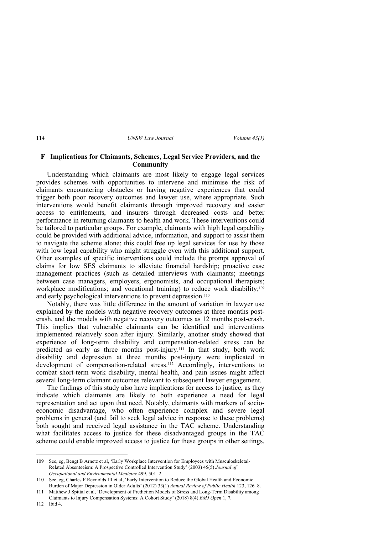## **F Implications for Claimants, Schemes, Legal Service Providers, and the Community**

Understanding which claimants are most likely to engage legal services provides schemes with opportunities to intervene and minimise the risk of claimants encountering obstacles or having negative experiences that could trigger both poor recovery outcomes and lawyer use, where appropriate. Such interventions would benefit claimants through improved recovery and easier access to entitlements, and insurers through decreased costs and better performance in returning claimants to health and work. These interventions could be tailored to particular groups. For example, claimants with high legal capability could be provided with additional advice, information, and support to assist them to navigate the scheme alone; this could free up legal services for use by those with low legal capability who might struggle even with this additional support. Other examples of specific interventions could include the prompt approval of claims for low SES claimants to alleviate financial hardship; proactive case management practices (such as detailed interviews with claimants; meetings between case managers, employers, ergonomists, and occupational therapists; workplace modifications; and vocational training) to reduce work disability;<sup>109</sup> and early psychological interventions to prevent depression.110

Notably, there was little difference in the amount of variation in lawyer use explained by the models with negative recovery outcomes at three months postcrash, and the models with negative recovery outcomes as 12 months post-crash. This implies that vulnerable claimants can be identified and interventions implemented relatively soon after injury. Similarly, another study showed that experience of long-term disability and compensation-related stress can be predicted as early as three months post-injury.111 In that study, both work disability and depression at three months post-injury were implicated in development of compensation-related stress.<sup>112</sup> Accordingly, interventions to combat short-term work disability, mental health, and pain issues might affect several long-term claimant outcomes relevant to subsequent lawyer engagement.

The findings of this study also have implications for access to justice, as they indicate which claimants are likely to both experience a need for legal representation and act upon that need. Notably, claimants with markers of socioeconomic disadvantage, who often experience complex and severe legal problems in general (and fail to seek legal advice in response to these problems) both sought and received legal assistance in the TAC scheme. Understanding what facilitates access to justice for these disadvantaged groups in the TAC scheme could enable improved access to justice for these groups in other settings.

<sup>109</sup> See, eg, Bengt B Arnetz et al, 'Early Workplace Intervention for Employees with Musculoskeletal-Related Absenteeism: A Prospective Controlled Intervention Study' (2003) 45(5) *Journal of Occupational and Environmental Medicine* 499, 501–2.

<sup>110</sup> See, eg, Charles F Reynolds III et al, 'Early Intervention to Reduce the Global Health and Economic Burden of Major Depression in Older Adults' (2012) 33(1) *Annual Review of Public Health* 123, 126–8.

<sup>111</sup> Matthew J Spittal et al, 'Development of Prediction Models of Stress and Long-Term Disability among Claimants to Injury Compensation Systems: A Cohort Study' (2018) 8(4) *BMJ Open* 1, 7.

<sup>112</sup> Ibid 4.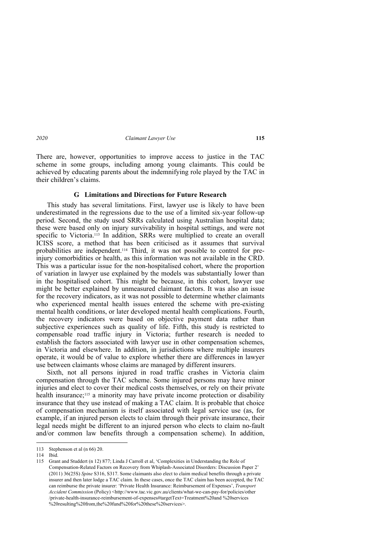There are, however, opportunities to improve access to justice in the TAC scheme in some groups, including among young claimants. This could be achieved by educating parents about the indemnifying role played by the TAC in their children's claims.

### **G Limitations and Directions for Future Research**

This study has several limitations. First, lawyer use is likely to have been underestimated in the regressions due to the use of a limited six-year follow-up period. Second, the study used SRRs calculated using Australian hospital data; these were based only on injury survivability in hospital settings, and were not specific to Victoria.113 In addition, SRRs were multiplied to create an overall ICISS score, a method that has been criticised as it assumes that survival probabilities are independent.114 Third, it was not possible to control for preinjury comorbidities or health, as this information was not available in the CRD. This was a particular issue for the non-hospitalised cohort, where the proportion of variation in lawyer use explained by the models was substantially lower than in the hospitalised cohort. This might be because, in this cohort, lawyer use might be better explained by unmeasured claimant factors. It was also an issue for the recovery indicators, as it was not possible to determine whether claimants who experienced mental health issues entered the scheme with pre-existing mental health conditions, or later developed mental health complications. Fourth, the recovery indicators were based on objective payment data rather than subjective experiences such as quality of life. Fifth, this study is restricted to compensable road traffic injury in Victoria; further research is needed to establish the factors associated with lawyer use in other compensation schemes, in Victoria and elsewhere. In addition, in jurisdictions where multiple insurers operate, it would be of value to explore whether there are differences in lawyer use between claimants whose claims are managed by different insurers.

Sixth, not all persons injured in road traffic crashes in Victoria claim compensation through the TAC scheme. Some injured persons may have minor injuries and elect to cover their medical costs themselves, or rely on their private health insurance;115 a minority may have private income protection or disability insurance that they use instead of making a TAC claim. It is probable that choice of compensation mechanism is itself associated with legal service use (as, for example, if an injured person elects to claim through their private insurance, their legal needs might be different to an injured person who elects to claim no-fault and/or common law benefits through a compensation scheme). In addition,

<sup>113</sup> Stephenson et al (n 66) 20.

<sup>114</sup> Ibid.

<sup>115</sup> Grant and Studdert (n 12) 877; Linda J Carroll et al, 'Complexities in Understanding the Role of Compensation-Related Factors on Recovery from Whiplash-Associated Disorders: Discussion Paper 2' (2011) 36(25S) *Spine* S316, S317. Some claimants also elect to claim medical benefits through a private insurer and then later lodge a TAC claim. In these cases, once the TAC claim has been accepted, the TAC can reimburse the private insurer: 'Private Health Insurance: Reimbursement of Expenses', *Transport Accident Commission* (Policy) <http://www.tac.vic.gov.au/clients/what-we-can-pay-for/policies/other /private-health-insurance-reimbursement-of-expenses#targetText=Treatment%20and %20services %20resulting%20from,the%20fund%20for%20these%20services>.